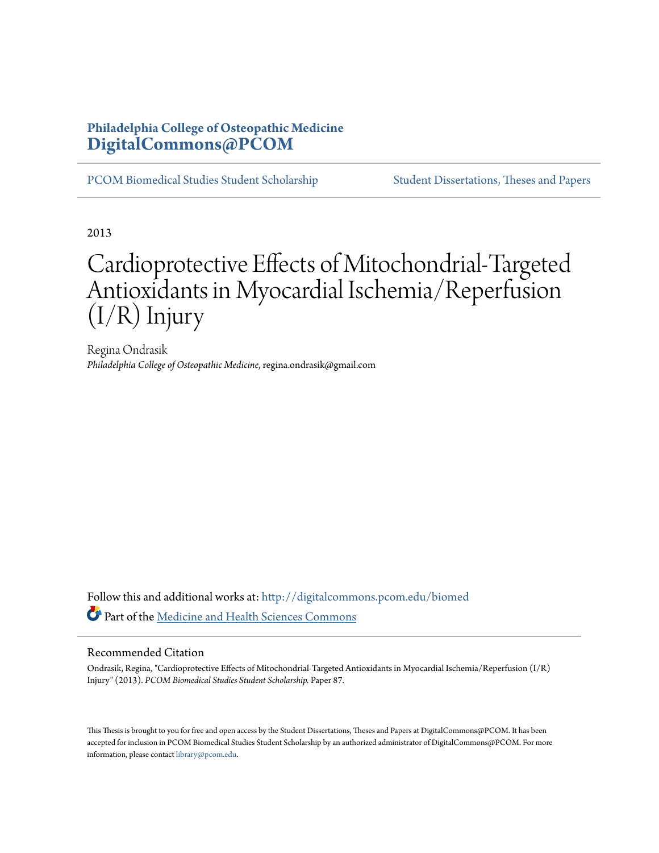# **Philadelphia College of Osteopathic Medicine [DigitalCommons@PCOM](http://digitalcommons.pcom.edu?utm_source=digitalcommons.pcom.edu%2Fbiomed%2F87&utm_medium=PDF&utm_campaign=PDFCoverPages)**

[PCOM Biomedical Studies Student Scholarship](http://digitalcommons.pcom.edu/biomed?utm_source=digitalcommons.pcom.edu%2Fbiomed%2F87&utm_medium=PDF&utm_campaign=PDFCoverPages) [Student Dissertations, Theses and Papers](http://digitalcommons.pcom.edu/etds?utm_source=digitalcommons.pcom.edu%2Fbiomed%2F87&utm_medium=PDF&utm_campaign=PDFCoverPages)

2013

# Cardioprotective Effects of Mitochondrial-Targeted Antioxidants in Myocardial Ischemia/Reperfusion (I/R) Injury

Regina Ondrasik *Philadelphia College of Osteopathic Medicine*, regina.ondrasik@gmail.com

Follow this and additional works at: [http://digitalcommons.pcom.edu/biomed](http://digitalcommons.pcom.edu/biomed?utm_source=digitalcommons.pcom.edu%2Fbiomed%2F87&utm_medium=PDF&utm_campaign=PDFCoverPages) Part of the [Medicine and Health Sciences Commons](http://network.bepress.com/hgg/discipline/648?utm_source=digitalcommons.pcom.edu%2Fbiomed%2F87&utm_medium=PDF&utm_campaign=PDFCoverPages)

#### Recommended Citation

Ondrasik, Regina, "Cardioprotective Effects of Mitochondrial-Targeted Antioxidants in Myocardial Ischemia/Reperfusion (I/R) Injury" (2013). *PCOM Biomedical Studies Student Scholarship.* Paper 87.

This Thesis is brought to you for free and open access by the Student Dissertations, Theses and Papers at DigitalCommons@PCOM. It has been accepted for inclusion in PCOM Biomedical Studies Student Scholarship by an authorized administrator of DigitalCommons@PCOM. For more information, please contact [library@pcom.edu.](mailto:library@pcom.edu)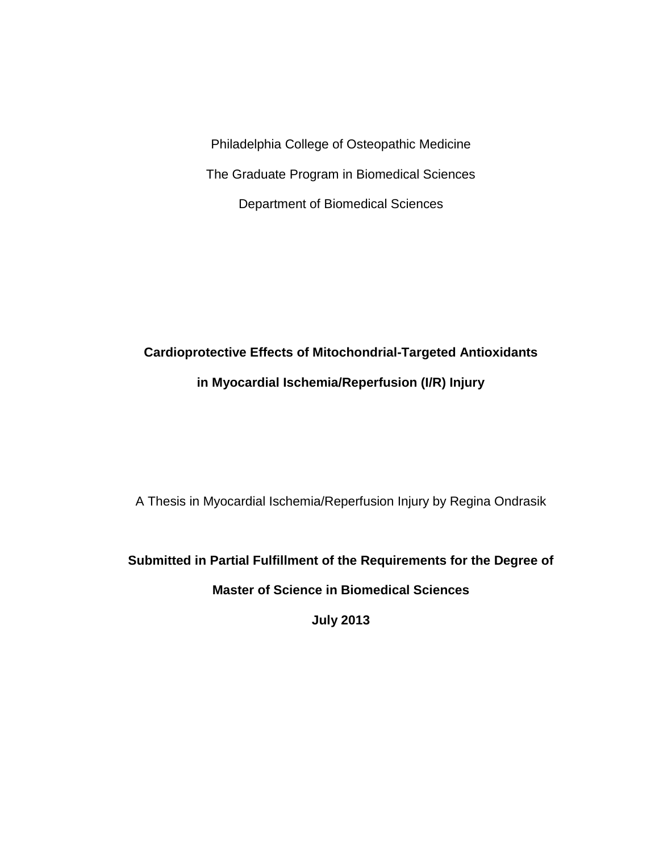Philadelphia College of Osteopathic Medicine The Graduate Program in Biomedical Sciences Department of Biomedical Sciences

# **Cardioprotective Effects of Mitochondrial-Targeted Antioxidants in Myocardial Ischemia/Reperfusion (I/R) Injury**

A Thesis in Myocardial Ischemia/Reperfusion Injury by Regina Ondrasik

**Submitted in Partial Fulfillment of the Requirements for the Degree of** 

**Master of Science in Biomedical Sciences**

**July 2013**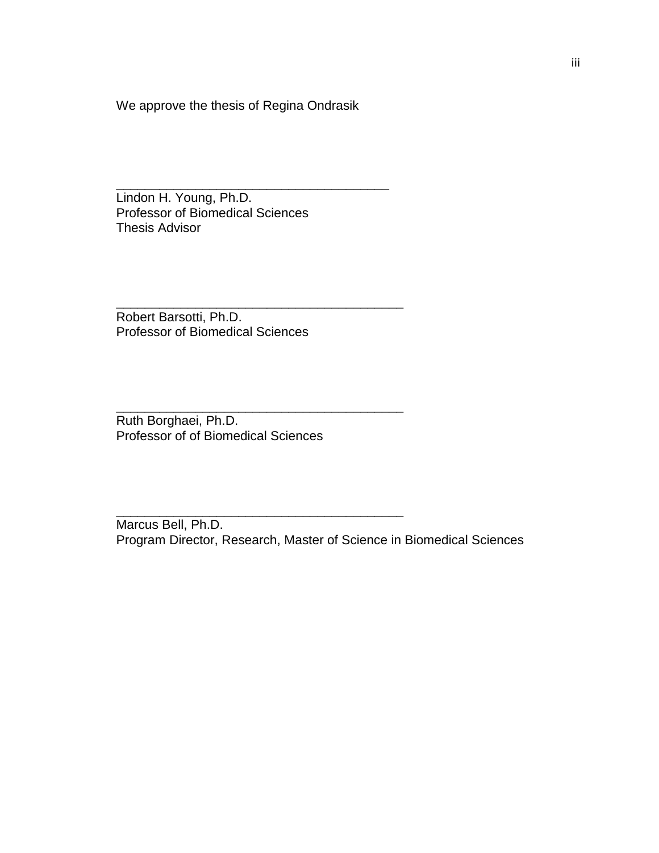We approve the thesis of Regina Ondrasik

\_\_\_\_\_\_\_\_\_\_\_\_\_\_\_\_\_\_\_\_\_\_\_\_\_\_\_\_\_\_\_\_\_\_\_\_\_\_

\_\_\_\_\_\_\_\_\_\_\_\_\_\_\_\_\_\_\_\_\_\_\_\_\_\_\_\_\_\_\_\_\_\_\_\_\_\_\_\_

\_\_\_\_\_\_\_\_\_\_\_\_\_\_\_\_\_\_\_\_\_\_\_\_\_\_\_\_\_\_\_\_\_\_\_\_\_\_\_\_

\_\_\_\_\_\_\_\_\_\_\_\_\_\_\_\_\_\_\_\_\_\_\_\_\_\_\_\_\_\_\_\_\_\_\_\_\_\_\_\_

Lindon H. Young, Ph.D. Professor of Biomedical Sciences Thesis Advisor

Robert Barsotti, Ph.D. Professor of Biomedical Sciences

Ruth Borghaei, Ph.D. Professor of of Biomedical Sciences

Marcus Bell, Ph.D. Program Director, Research, Master of Science in Biomedical Sciences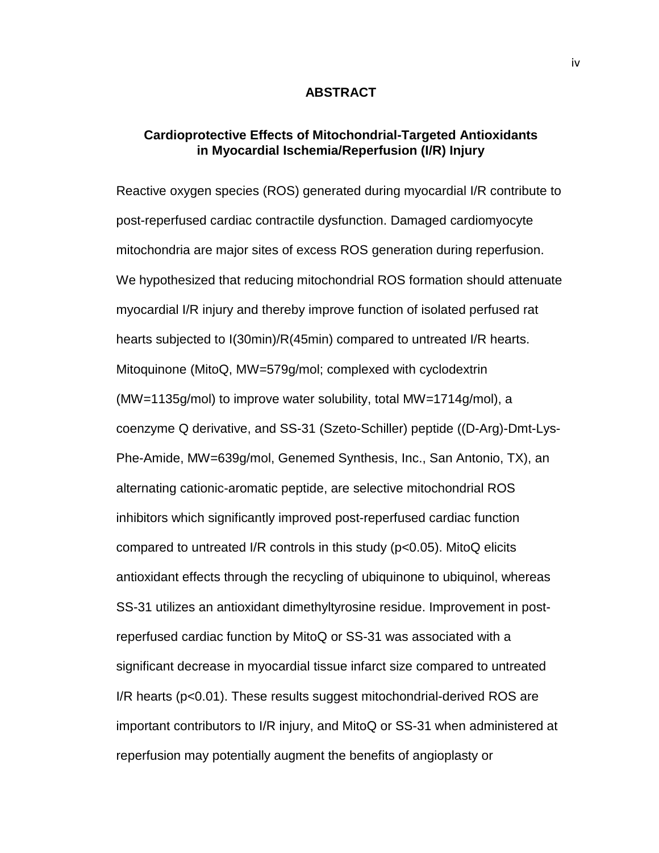#### **ABSTRACT**

# **Cardioprotective Effects of Mitochondrial-Targeted Antioxidants in Myocardial Ischemia/Reperfusion (I/R) Injury**

Reactive oxygen species (ROS) generated during myocardial I/R contribute to post-reperfused cardiac contractile dysfunction. Damaged cardiomyocyte mitochondria are major sites of excess ROS generation during reperfusion. We hypothesized that reducing mitochondrial ROS formation should attenuate myocardial I/R injury and thereby improve function of isolated perfused rat hearts subjected to I(30min)/R(45min) compared to untreated I/R hearts. Mitoquinone (MitoQ, MW=579g/mol; complexed with cyclodextrin (MW=1135g/mol) to improve water solubility, total MW=1714g/mol), a coenzyme Q derivative, and SS-31 (Szeto-Schiller) peptide ((D-Arg)-Dmt-Lys-Phe-Amide, MW=639g/mol, Genemed Synthesis, Inc., San Antonio, TX), an alternating cationic-aromatic peptide, are selective mitochondrial ROS inhibitors which significantly improved post-reperfused cardiac function compared to untreated I/R controls in this study (p<0.05). MitoQ elicits antioxidant effects through the recycling of ubiquinone to ubiquinol, whereas SS-31 utilizes an antioxidant dimethyltyrosine residue. Improvement in postreperfused cardiac function by MitoQ or SS-31 was associated with a significant decrease in myocardial tissue infarct size compared to untreated I/R hearts (p<0.01). These results suggest mitochondrial-derived ROS are important contributors to I/R injury, and MitoQ or SS-31 when administered at reperfusion may potentially augment the benefits of angioplasty or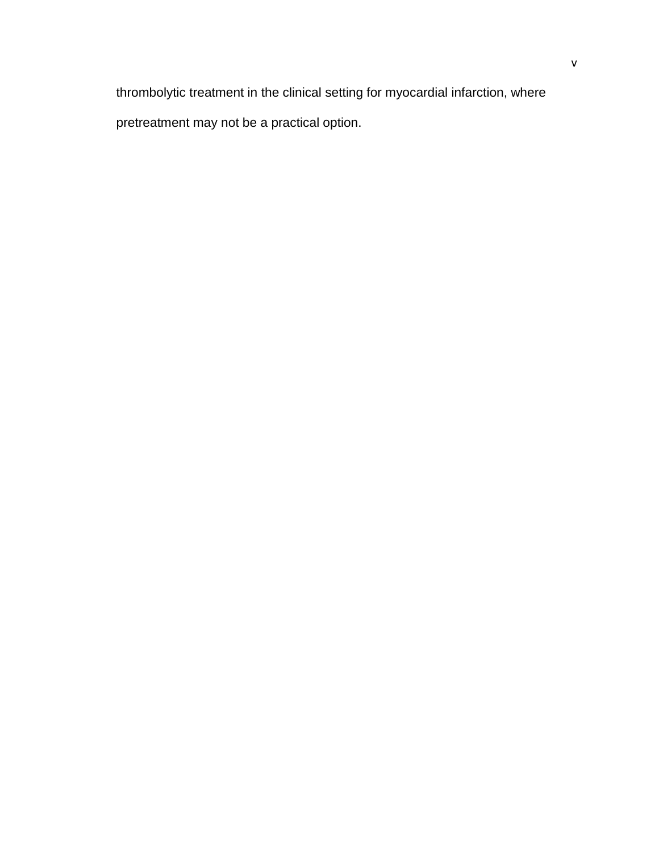thrombolytic treatment in the clinical setting for myocardial infarction, where pretreatment may not be a practical option.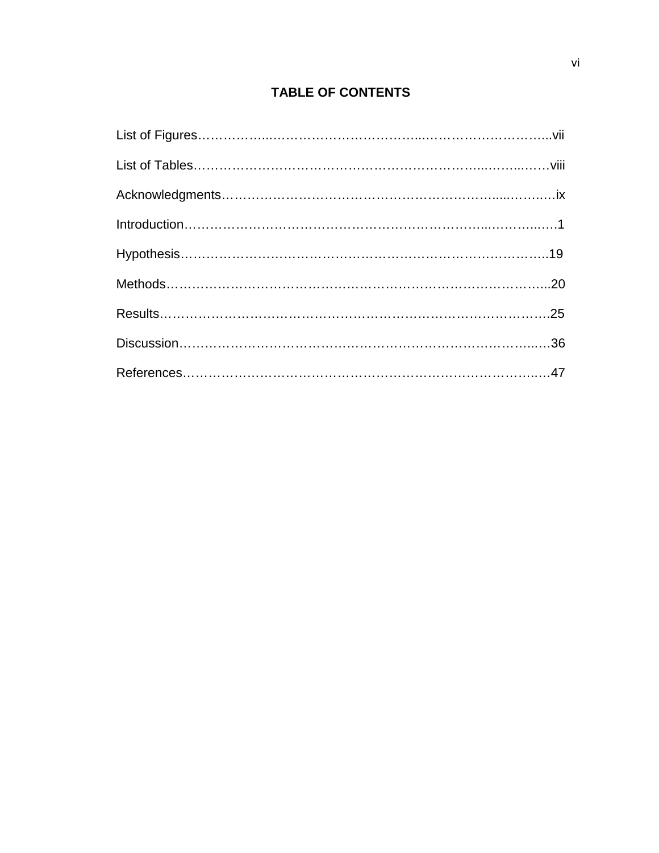# **TABLE OF CONTENTS**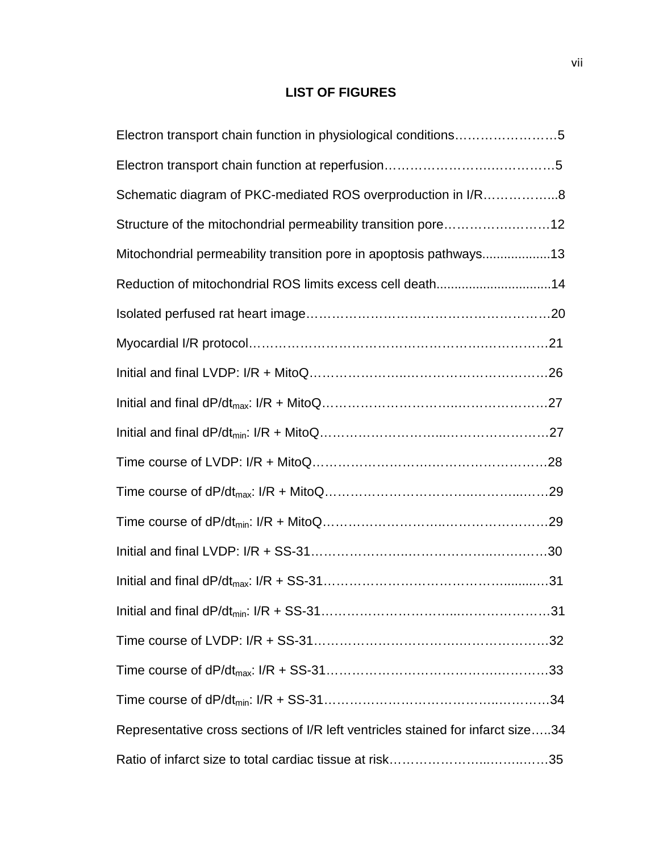# **LIST OF FIGURES**

| Electron transport chain function in physiological conditions5                  |
|---------------------------------------------------------------------------------|
|                                                                                 |
| Schematic diagram of PKC-mediated ROS overproduction in I/R8                    |
| Structure of the mitochondrial permeability transition pore12                   |
| Mitochondrial permeability transition pore in apoptosis pathways13              |
| Reduction of mitochondrial ROS limits excess cell death14                       |
|                                                                                 |
|                                                                                 |
|                                                                                 |
|                                                                                 |
|                                                                                 |
|                                                                                 |
|                                                                                 |
|                                                                                 |
|                                                                                 |
|                                                                                 |
|                                                                                 |
|                                                                                 |
|                                                                                 |
|                                                                                 |
| Representative cross sections of I/R left ventricles stained for infarct size34 |
|                                                                                 |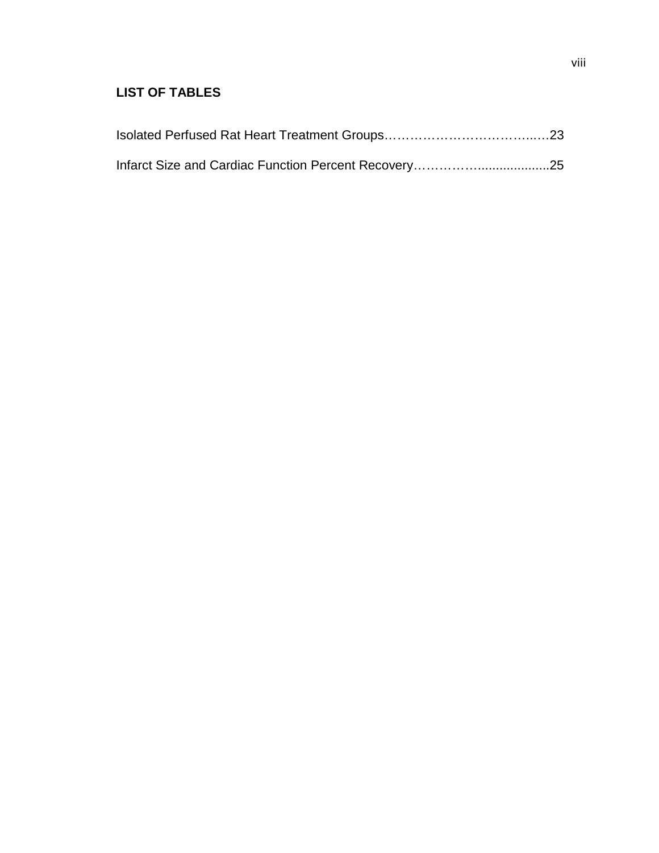# **LIST OF TABLES**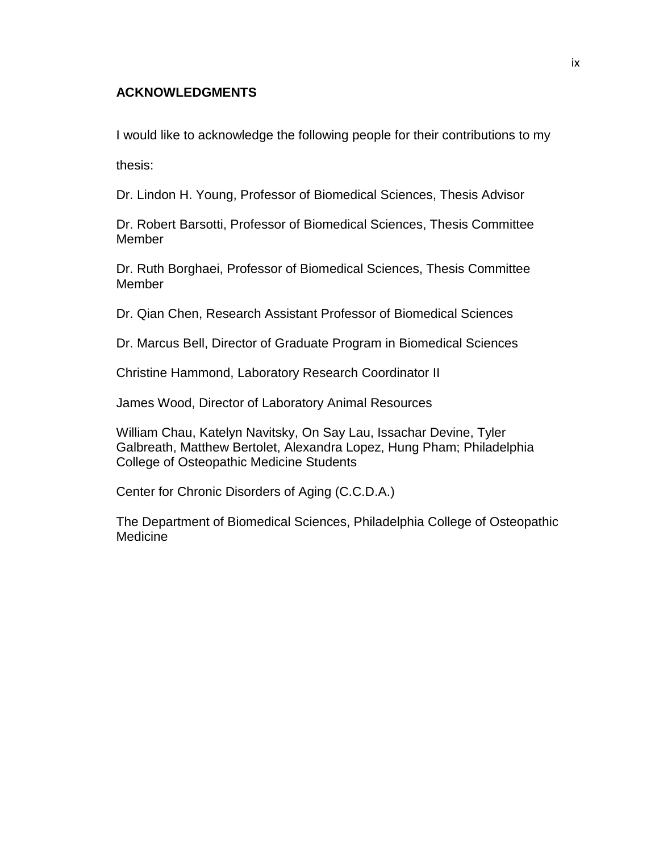# **ACKNOWLEDGMENTS**

I would like to acknowledge the following people for their contributions to my

thesis:

Dr. Lindon H. Young, Professor of Biomedical Sciences, Thesis Advisor

Dr. Robert Barsotti, Professor of Biomedical Sciences, Thesis Committee Member

Dr. Ruth Borghaei, Professor of Biomedical Sciences, Thesis Committee **Member** 

Dr. Qian Chen, Research Assistant Professor of Biomedical Sciences

Dr. Marcus Bell, Director of Graduate Program in Biomedical Sciences

Christine Hammond, Laboratory Research Coordinator II

James Wood, Director of Laboratory Animal Resources

William Chau, Katelyn Navitsky, On Say Lau, Issachar Devine, Tyler Galbreath, Matthew Bertolet, Alexandra Lopez, Hung Pham; Philadelphia College of Osteopathic Medicine Students

Center for Chronic Disorders of Aging (C.C.D.A.)

The Department of Biomedical Sciences, Philadelphia College of Osteopathic Medicine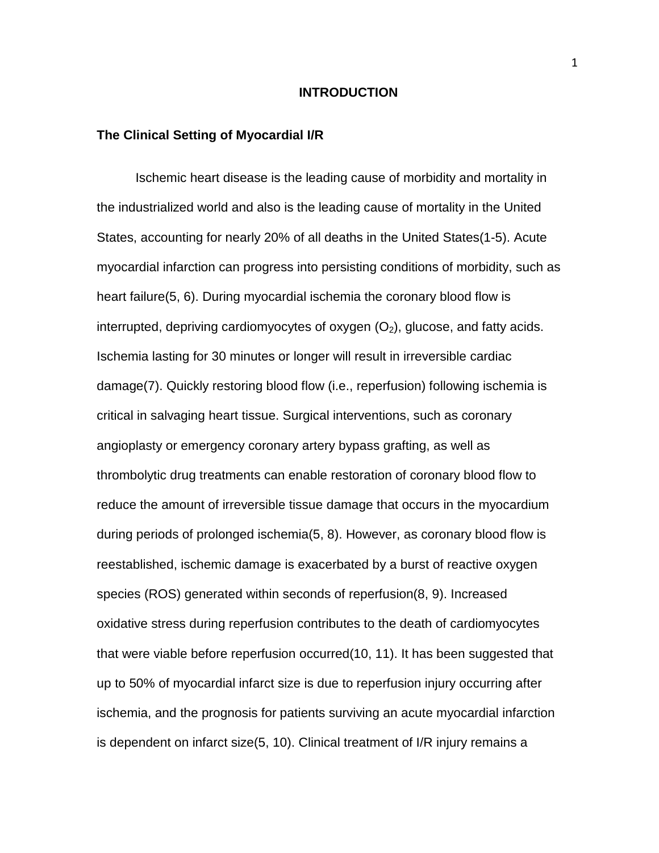#### **INTRODUCTION**

#### **The Clinical Setting of Myocardial I/R**

Ischemic heart disease is the leading cause of morbidity and mortality in the industrialized world and also is the leading cause of mortality in the United States, accounting for nearly 20% of all deaths in the United States(1-5). Acute myocardial infarction can progress into persisting conditions of morbidity, such as heart failure(5, 6). During myocardial ischemia the coronary blood flow is interrupted, depriving cardiomyocytes of oxygen  $(O_2)$ , glucose, and fatty acids. Ischemia lasting for 30 minutes or longer will result in irreversible cardiac damage(7). Quickly restoring blood flow (i.e., reperfusion) following ischemia is critical in salvaging heart tissue. Surgical interventions, such as coronary angioplasty or emergency coronary artery bypass grafting, as well as thrombolytic drug treatments can enable restoration of coronary blood flow to reduce the amount of irreversible tissue damage that occurs in the myocardium during periods of prolonged ischemia(5, 8). However, as coronary blood flow is reestablished, ischemic damage is exacerbated by a burst of reactive oxygen species (ROS) generated within seconds of reperfusion(8, 9). Increased oxidative stress during reperfusion contributes to the death of cardiomyocytes that were viable before reperfusion occurred(10, 11). It has been suggested that up to 50% of myocardial infarct size is due to reperfusion injury occurring after ischemia, and the prognosis for patients surviving an acute myocardial infarction is dependent on infarct size(5, 10). Clinical treatment of I/R injury remains a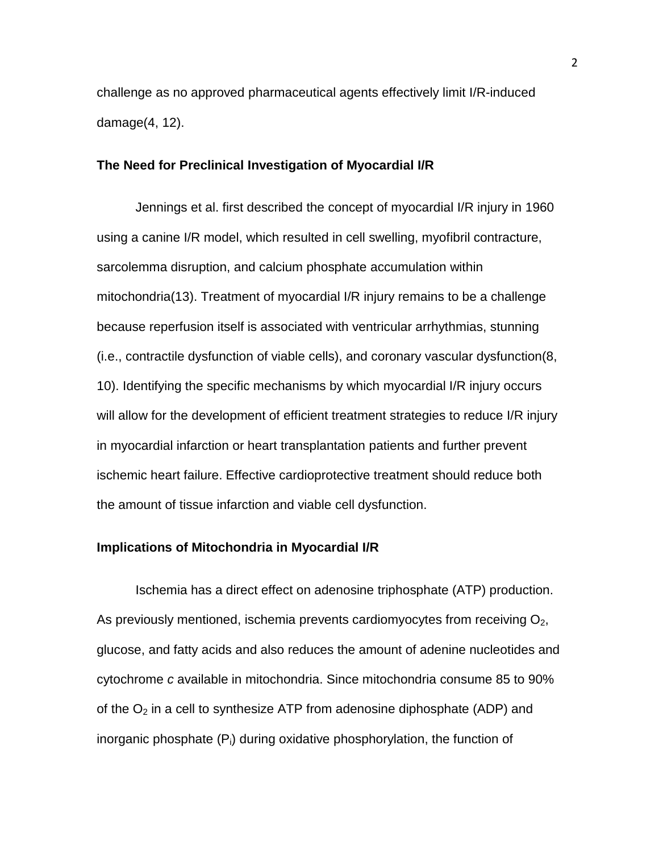challenge as no approved pharmaceutical agents effectively limit I/R-induced damage(4, 12).

#### **The Need for Preclinical Investigation of Myocardial I/R**

Jennings et al. first described the concept of myocardial I/R injury in 1960 using a canine I/R model, which resulted in cell swelling, myofibril contracture, sarcolemma disruption, and calcium phosphate accumulation within mitochondria(13). Treatment of myocardial I/R injury remains to be a challenge because reperfusion itself is associated with ventricular arrhythmias, stunning (i.e., contractile dysfunction of viable cells), and coronary vascular dysfunction(8, 10). Identifying the specific mechanisms by which myocardial I/R injury occurs will allow for the development of efficient treatment strategies to reduce I/R injury in myocardial infarction or heart transplantation patients and further prevent ischemic heart failure. Effective cardioprotective treatment should reduce both the amount of tissue infarction and viable cell dysfunction.

## **Implications of Mitochondria in Myocardial I/R**

Ischemia has a direct effect on adenosine triphosphate (ATP) production. As previously mentioned, ischemia prevents cardiomyocytes from receiving  $O<sub>2</sub>$ , glucose, and fatty acids and also reduces the amount of adenine nucleotides and cytochrome *c* available in mitochondria. Since mitochondria consume 85 to 90% of the  $O<sub>2</sub>$  in a cell to synthesize ATP from adenosine diphosphate (ADP) and inorganic phosphate  $(P_i)$  during oxidative phosphorylation, the function of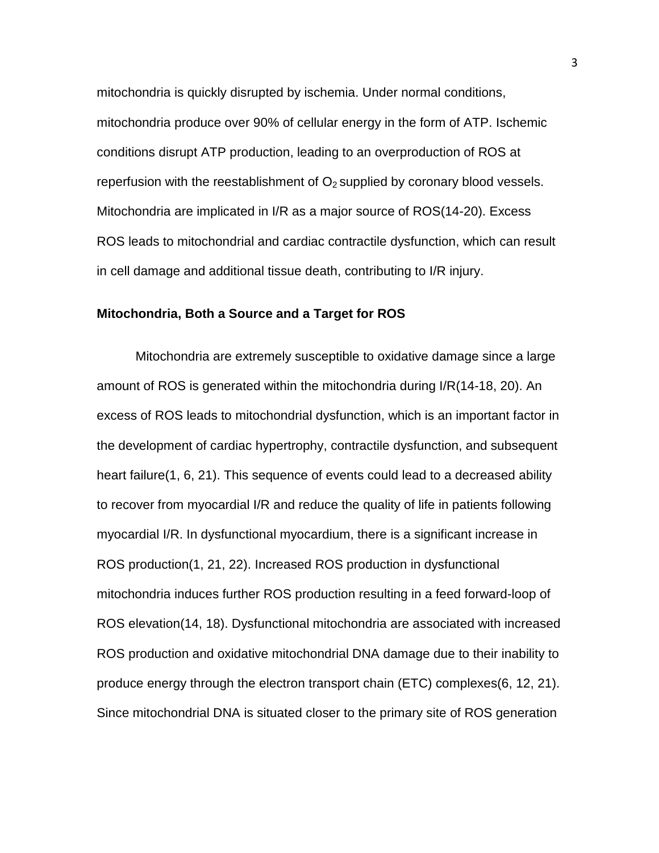mitochondria is quickly disrupted by ischemia. Under normal conditions, mitochondria produce over 90% of cellular energy in the form of ATP. Ischemic conditions disrupt ATP production, leading to an overproduction of ROS at reperfusion with the reestablishment of  $O<sub>2</sub>$  supplied by coronary blood vessels. Mitochondria are implicated in I/R as a major source of ROS(14-20). Excess ROS leads to mitochondrial and cardiac contractile dysfunction, which can result in cell damage and additional tissue death, contributing to I/R injury.

#### **Mitochondria, Both a Source and a Target for ROS**

Mitochondria are extremely susceptible to oxidative damage since a large amount of ROS is generated within the mitochondria during I/R(14-18, 20). An excess of ROS leads to mitochondrial dysfunction, which is an important factor in the development of cardiac hypertrophy, contractile dysfunction, and subsequent heart failure(1, 6, 21). This sequence of events could lead to a decreased ability to recover from myocardial I/R and reduce the quality of life in patients following myocardial I/R. In dysfunctional myocardium, there is a significant increase in ROS production(1, 21, 22). Increased ROS production in dysfunctional mitochondria induces further ROS production resulting in a feed forward-loop of ROS elevation(14, 18). Dysfunctional mitochondria are associated with increased ROS production and oxidative mitochondrial DNA damage due to their inability to produce energy through the electron transport chain (ETC) complexes(6, 12, 21). Since mitochondrial DNA is situated closer to the primary site of ROS generation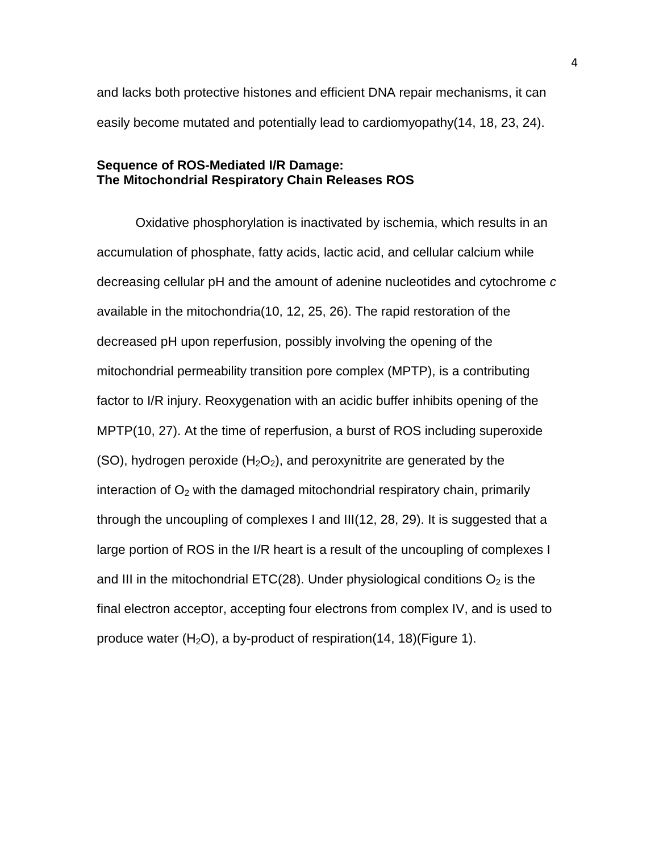and lacks both protective histones and efficient DNA repair mechanisms, it can easily become mutated and potentially lead to cardiomyopathy(14, 18, 23, 24).

# **Sequence of ROS-Mediated I/R Damage: The Mitochondrial Respiratory Chain Releases ROS**

Oxidative phosphorylation is inactivated by ischemia, which results in an accumulation of phosphate, fatty acids, lactic acid, and cellular calcium while decreasing cellular pH and the amount of adenine nucleotides and cytochrome *c* available in the mitochondria(10, 12, 25, 26). The rapid restoration of the decreased pH upon reperfusion, possibly involving the opening of the mitochondrial permeability transition pore complex (MPTP), is a contributing factor to I/R injury. Reoxygenation with an acidic buffer inhibits opening of the MPTP(10, 27). At the time of reperfusion, a burst of ROS including superoxide (SO), hydrogen peroxide  $(H_2O_2)$ , and peroxynitrite are generated by the interaction of  $O<sub>2</sub>$  with the damaged mitochondrial respiratory chain, primarily through the uncoupling of complexes I and III(12, 28, 29). It is suggested that a large portion of ROS in the I/R heart is a result of the uncoupling of complexes I and III in the mitochondrial ETC(28). Under physiological conditions  $O_2$  is the final electron acceptor, accepting four electrons from complex IV, and is used to produce water  $(H_2O)$ , a by-product of respiration(14, 18)(Figure 1).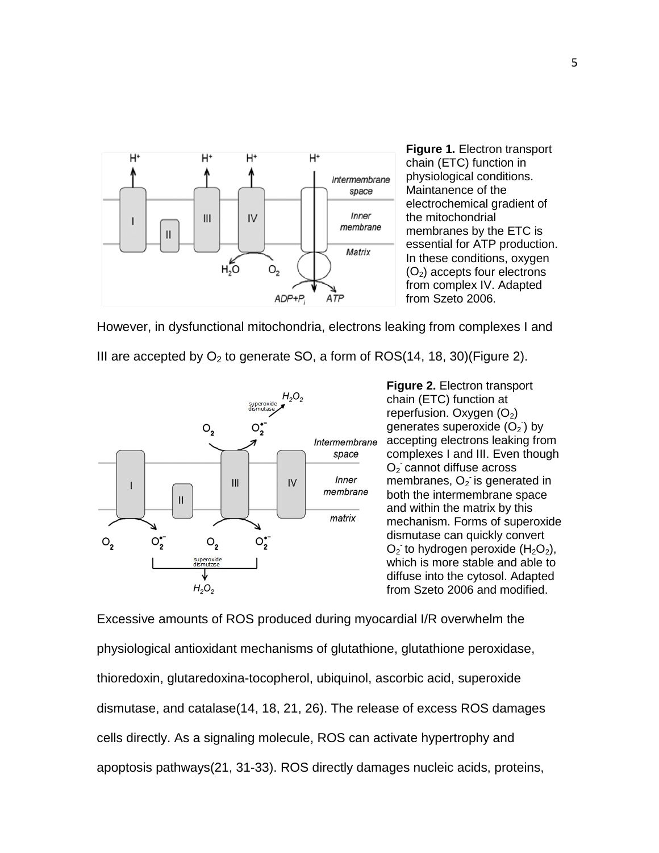

**Figure 1.** Electron transport chain (ETC) function in physiological conditions. Maintanence of the electrochemical gradient of the mitochondrial membranes by the ETC is essential for ATP production. In these conditions, oxygen  $(O<sub>2</sub>)$  accepts four electrons from complex IV. Adapted from Szeto 2006.

However, in dysfunctional mitochondria, electrons leaking from complexes I and

III are accepted by  $O<sub>2</sub>$  to generate SO, a form of ROS(14, 18, 30)(Figure 2).



**Figure 2.** Electron transport chain (ETC) function at reperfusion. Oxygen  $(O_2)$ generates superoxide  $(O_2)$  by accepting electrons leaking from complexes I and III. Even though  $O<sub>2</sub>$  cannot diffuse across membranes,  $O_2$  is generated in both the intermembrane space and within the matrix by this mechanism. Forms of superoxide dismutase can quickly convert  $O_2$  to hydrogen peroxide  $(H_2O_2)$ , which is more stable and able to diffuse into the cytosol. Adapted from Szeto 2006 and modified.

Excessive amounts of ROS produced during myocardial I/R overwhelm the physiological antioxidant mechanisms of glutathione, glutathione peroxidase, thioredoxin, glutaredoxina-tocopherol, ubiquinol, ascorbic acid, superoxide dismutase, and catalase(14, 18, 21, 26). The release of excess ROS damages cells directly. As a signaling molecule, ROS can activate hypertrophy and apoptosis pathways(21, 31-33). ROS directly damages nucleic acids, proteins,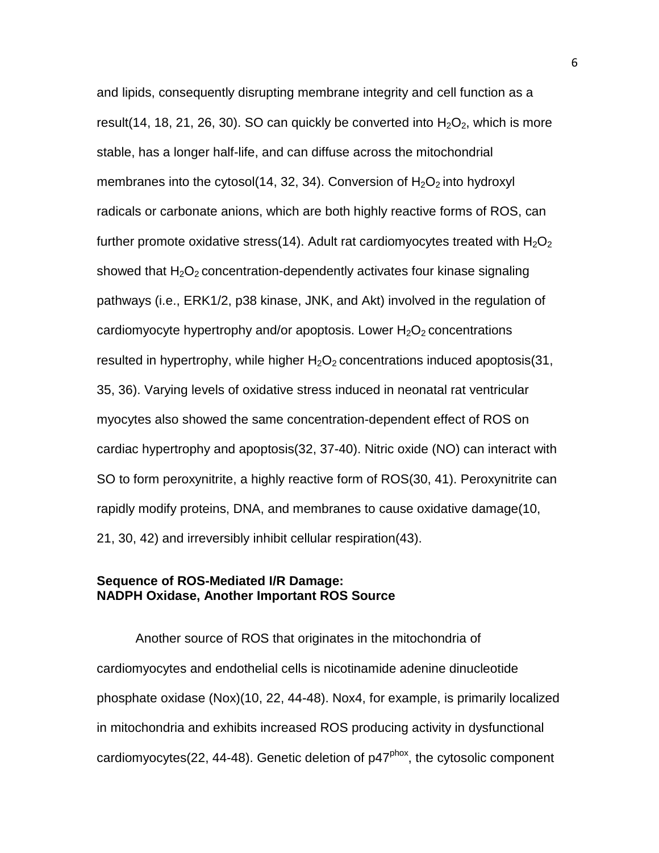and lipids, consequently disrupting membrane integrity and cell function as a result(14, 18, 21, 26, 30). SO can quickly be converted into  $H_2O_2$ , which is more stable, has a longer half-life, and can diffuse across the mitochondrial membranes into the cytosol(14, 32, 34). Conversion of  $H_2O_2$  into hydroxyl radicals or carbonate anions, which are both highly reactive forms of ROS, can further promote oxidative stress(14). Adult rat cardiomyocytes treated with  $H_2O_2$ showed that  $H_2O_2$  concentration-dependently activates four kinase signaling pathways (i.e., ERK1/2, p38 kinase, JNK, and Akt) involved in the regulation of cardiomyocyte hypertrophy and/or apoptosis. Lower  $H_2O_2$  concentrations resulted in hypertrophy, while higher  $H_2O_2$  concentrations induced apoptosis(31, 35, 36). Varying levels of oxidative stress induced in neonatal rat ventricular myocytes also showed the same concentration-dependent effect of ROS on cardiac hypertrophy and apoptosis(32, 37-40). Nitric oxide (NO) can interact with SO to form peroxynitrite, a highly reactive form of ROS(30, 41). Peroxynitrite can rapidly modify proteins, DNA, and membranes to cause oxidative damage(10, 21, 30, 42) and irreversibly inhibit cellular respiration(43).

# **Sequence of ROS-Mediated I/R Damage: NADPH Oxidase, Another Important ROS Source**

Another source of ROS that originates in the mitochondria of cardiomyocytes and endothelial cells is nicotinamide adenine dinucleotide phosphate oxidase (Nox)(10, 22, 44-48). Nox4, for example, is primarily localized in mitochondria and exhibits increased ROS producing activity in dysfunctional cardiomyocytes(22, 44-48). Genetic deletion of  $p47<sup>phox</sup>$ , the cytosolic component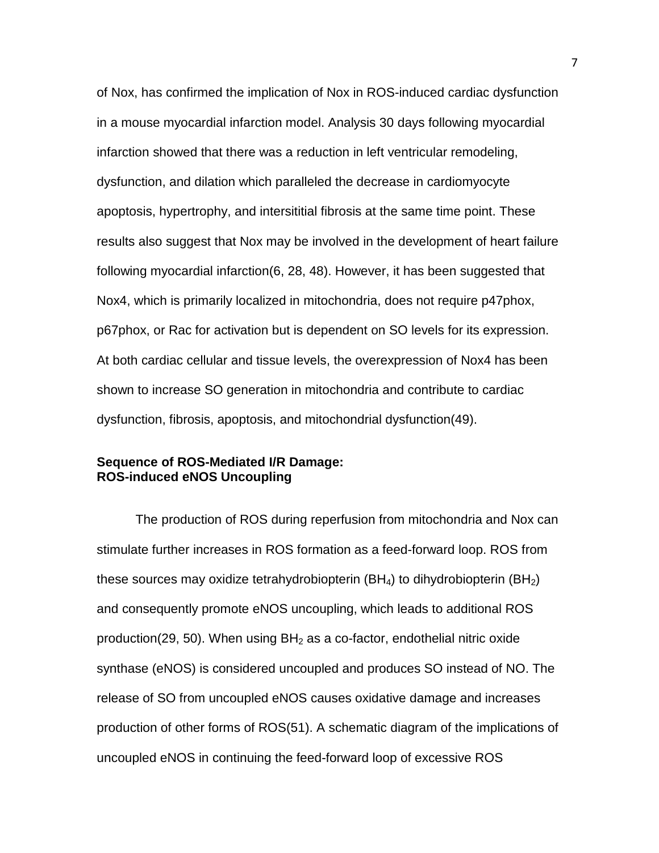of Nox, has confirmed the implication of Nox in ROS-induced cardiac dysfunction in a mouse myocardial infarction model. Analysis 30 days following myocardial infarction showed that there was a reduction in left ventricular remodeling, dysfunction, and dilation which paralleled the decrease in cardiomyocyte apoptosis, hypertrophy, and intersititial fibrosis at the same time point. These results also suggest that Nox may be involved in the development of heart failure following myocardial infarction(6, 28, 48). However, it has been suggested that Nox4, which is primarily localized in mitochondria, does not require p47phox, p67phox, or Rac for activation but is dependent on SO levels for its expression. At both cardiac cellular and tissue levels, the overexpression of Nox4 has been shown to increase SO generation in mitochondria and contribute to cardiac dysfunction, fibrosis, apoptosis, and mitochondrial dysfunction(49).

# **Sequence of ROS-Mediated I/R Damage: ROS-induced eNOS Uncoupling**

The production of ROS during reperfusion from mitochondria and Nox can stimulate further increases in ROS formation as a feed-forward loop. ROS from these sources may oxidize tetrahydrobiopterin  $(BH_4)$  to dihydrobiopterin  $(BH_2)$ and consequently promote eNOS uncoupling, which leads to additional ROS production(29, 50). When using  $BH<sub>2</sub>$  as a co-factor, endothelial nitric oxide synthase (eNOS) is considered uncoupled and produces SO instead of NO. The release of SO from uncoupled eNOS causes oxidative damage and increases production of other forms of ROS(51). A schematic diagram of the implications of uncoupled eNOS in continuing the feed-forward loop of excessive ROS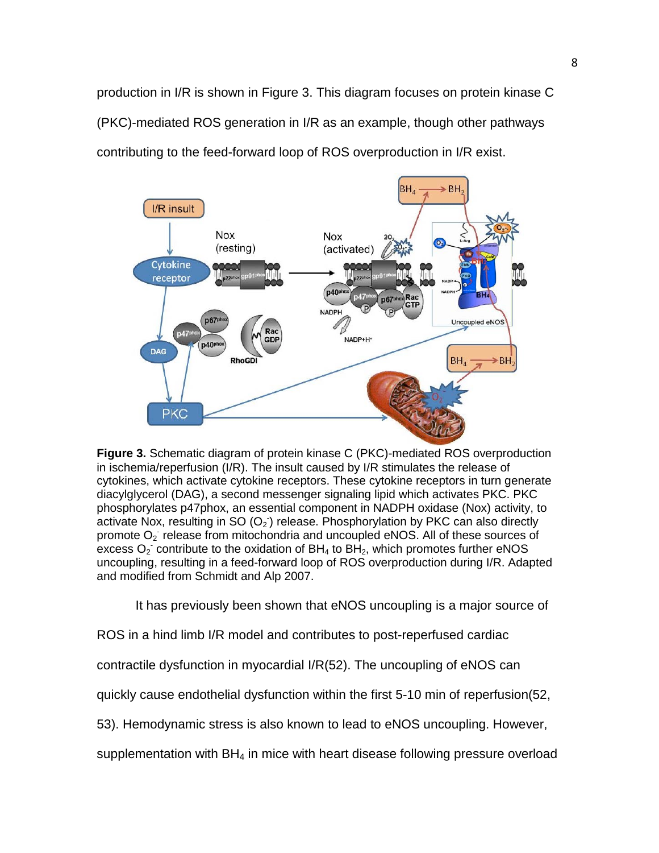production in I/R is shown in Figure 3. This diagram focuses on protein kinase C (PKC)-mediated ROS generation in I/R as an example, though other pathways contributing to the feed-forward loop of ROS overproduction in I/R exist.



**Figure 3.** Schematic diagram of protein kinase C (PKC)-mediated ROS overproduction in ischemia/reperfusion (I/R). The insult caused by I/R stimulates the release of cytokines, which activate cytokine receptors. These cytokine receptors in turn generate diacylglycerol (DAG), a second messenger signaling lipid which activates PKC. PKC phosphorylates p47phox, an essential component in NADPH oxidase (Nox) activity, to activate Nox, resulting in SO  $(O_2)$  release. Phosphorylation by PKC can also directly promote  $O_2$  release from mitochondria and uncoupled eNOS. All of these sources of excess  $O_2$  contribute to the oxidation of BH<sub>4</sub> to BH<sub>2</sub>, which promotes further eNOS uncoupling, resulting in a feed-forward loop of ROS overproduction during I/R. Adapted and modified from Schmidt and Alp 2007.

It has previously been shown that eNOS uncoupling is a major source of

ROS in a hind limb I/R model and contributes to post-reperfused cardiac

contractile dysfunction in myocardial I/R(52). The uncoupling of eNOS can

quickly cause endothelial dysfunction within the first 5-10 min of reperfusion(52,

53). Hemodynamic stress is also known to lead to eNOS uncoupling. However,

supplementation with  $BH<sub>4</sub>$  in mice with heart disease following pressure overload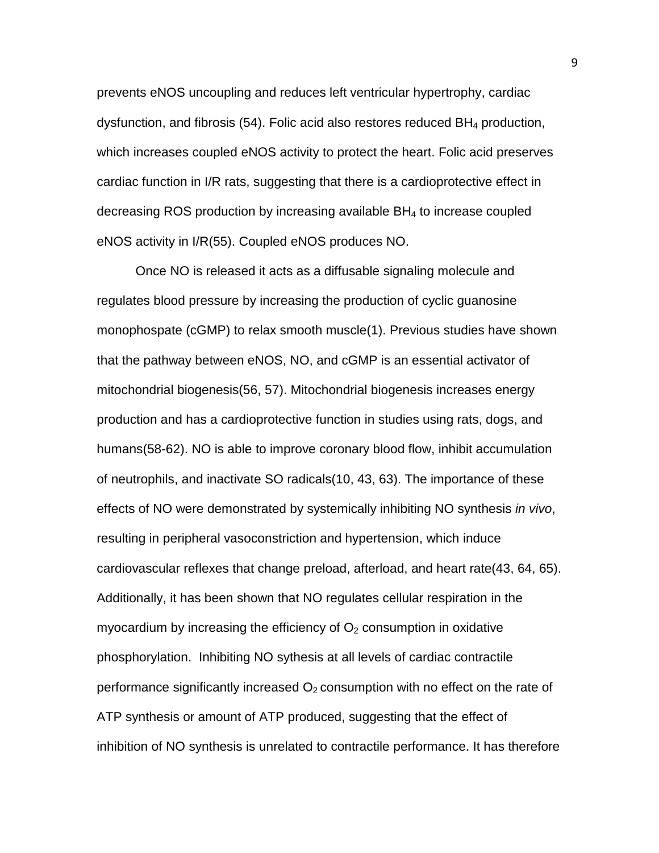prevents eNOS uncoupling and reduces left ventricular hypertrophy, cardiac dysfunction, and fibrosis (54). Folic acid also restores reduced BH4 production, which increases coupled eNOS activity to protect the heart. Folic acid preserves cardiac function in I/R rats, suggesting that there is a cardioprotective effect in decreasing ROS production by increasing available BH4 to increase coupled eNOS activity in I/R(55). Coupled eNOS produces NO.

Once NO is released it acts as a diffusable signaling molecule and regulates blood pressure by increasing the production of cyclic guanosine monophospate (cGMP) to relax smooth muscle(1). Previous studies have shown that the pathway between eNOS, NO, and cGMP is an essential activator of mitochondrial biogenesis(56, 57). Mitochondrial biogenesis increases energy production and has a cardioprotective function in studies using rats, dogs, and humans(58-62). NO is able to improve coronary blood flow, inhibit accumulation of neutrophils, and inactivate SO radicals(10, 43, 63). The importance of these effects of NO were demonstrated by systemically inhibiting NO synthesis *in vivo*, resulting in peripheral vasoconstriction and hypertension, which induce cardiovascular reflexes that change preload, afterload, and heart rate(43, 64, 65). Additionally, it has been shown that NO regulates cellular respiration in the myocardium by increasing the efficiency of  $O<sub>2</sub>$  consumption in oxidative phosphorylation. Inhibiting NO sythesis at all levels of cardiac contractile performance significantly increased  $O<sub>2</sub>$  consumption with no effect on the rate of ATP synthesis or amount of ATP produced, suggesting that the effect of inhibition of NO synthesis is unrelated to contractile performance. It has therefore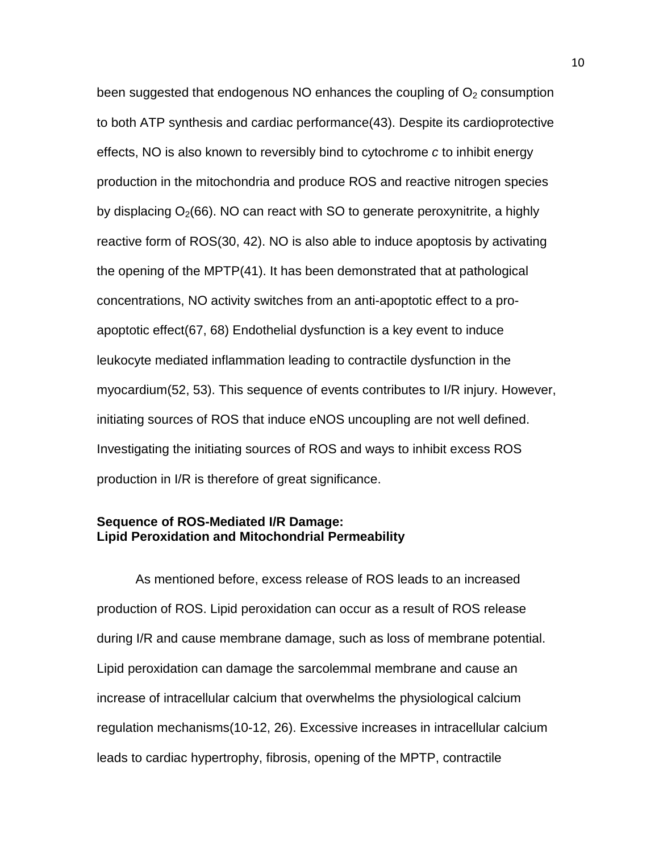been suggested that endogenous NO enhances the coupling of  $O<sub>2</sub>$  consumption to both ATP synthesis and cardiac performance(43). Despite its cardioprotective effects, NO is also known to reversibly bind to cytochrome *c* to inhibit energy production in the mitochondria and produce ROS and reactive nitrogen species by displacing  $O<sub>2</sub>(66)$ . NO can react with SO to generate peroxynitrite, a highly reactive form of ROS(30, 42). NO is also able to induce apoptosis by activating the opening of the MPTP(41). It has been demonstrated that at pathological concentrations, NO activity switches from an anti-apoptotic effect to a proapoptotic effect(67, 68) Endothelial dysfunction is a key event to induce leukocyte mediated inflammation leading to contractile dysfunction in the myocardium(52, 53). This sequence of events contributes to I/R injury. However, initiating sources of ROS that induce eNOS uncoupling are not well defined. Investigating the initiating sources of ROS and ways to inhibit excess ROS production in I/R is therefore of great significance.

# **Sequence of ROS-Mediated I/R Damage: Lipid Peroxidation and Mitochondrial Permeability**

As mentioned before, excess release of ROS leads to an increased production of ROS. Lipid peroxidation can occur as a result of ROS release during I/R and cause membrane damage, such as loss of membrane potential. Lipid peroxidation can damage the sarcolemmal membrane and cause an increase of intracellular calcium that overwhelms the physiological calcium regulation mechanisms(10-12, 26). Excessive increases in intracellular calcium leads to cardiac hypertrophy, fibrosis, opening of the MPTP, contractile

10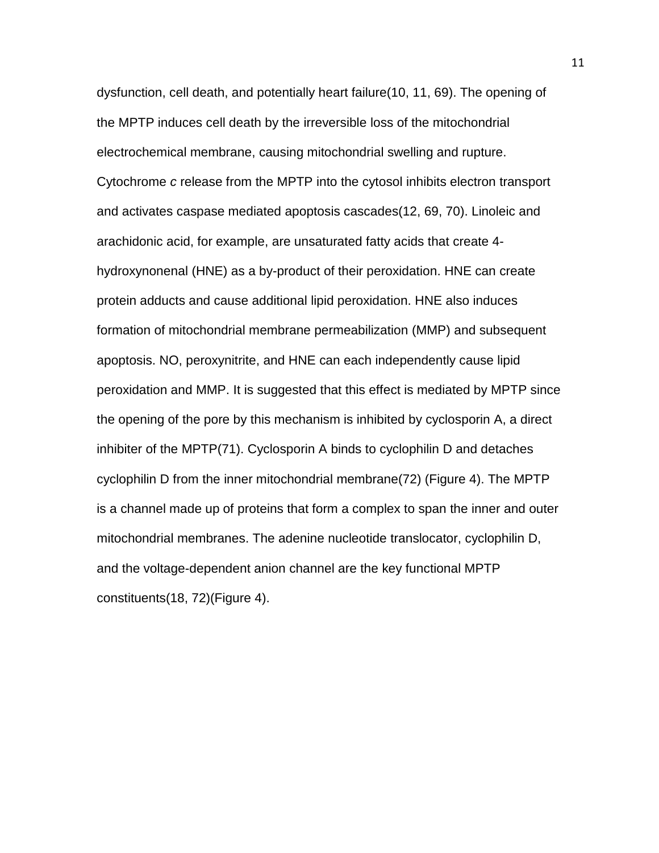dysfunction, cell death, and potentially heart failure(10, 11, 69). The opening of the MPTP induces cell death by the irreversible loss of the mitochondrial electrochemical membrane, causing mitochondrial swelling and rupture. Cytochrome *c* release from the MPTP into the cytosol inhibits electron transport and activates caspase mediated apoptosis cascades(12, 69, 70). Linoleic and arachidonic acid, for example, are unsaturated fatty acids that create 4 hydroxynonenal (HNE) as a by-product of their peroxidation. HNE can create protein adducts and cause additional lipid peroxidation. HNE also induces formation of mitochondrial membrane permeabilization (MMP) and subsequent apoptosis. NO, peroxynitrite, and HNE can each independently cause lipid peroxidation and MMP. It is suggested that this effect is mediated by MPTP since the opening of the pore by this mechanism is inhibited by cyclosporin A, a direct inhibiter of the MPTP(71). Cyclosporin A binds to cyclophilin D and detaches cyclophilin D from the inner mitochondrial membrane(72) (Figure 4). The MPTP is a channel made up of proteins that form a complex to span the inner and outer mitochondrial membranes. The adenine nucleotide translocator, cyclophilin D, and the voltage-dependent anion channel are the key functional MPTP constituents(18, 72)(Figure 4).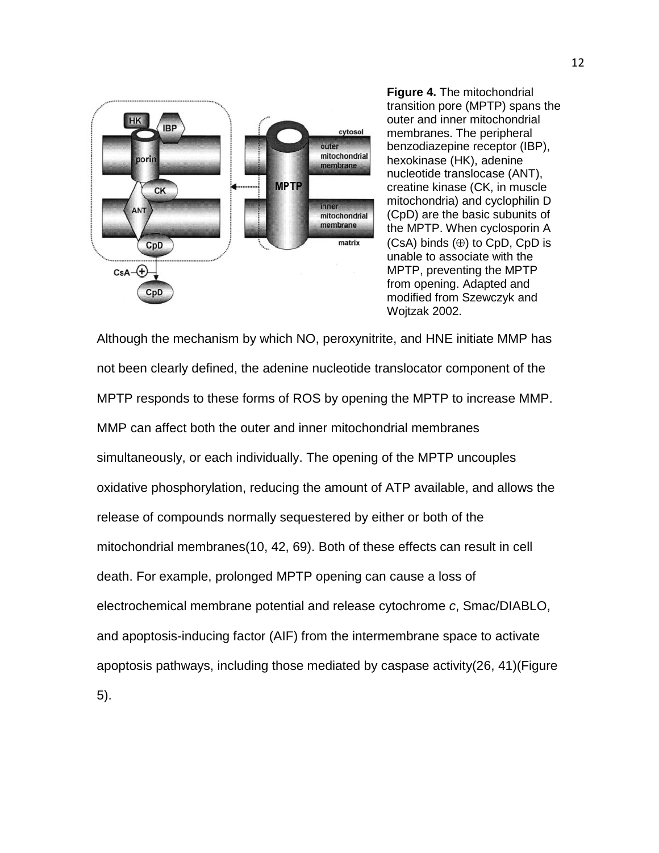

**Figure 4.** The mitochondrial transition pore (MPTP) spans the outer and inner mitochondrial membranes. The peripheral benzodiazepine receptor (IBP), hexokinase (HK), adenine nucleotide translocase (ANT), creatine kinase (CK, in muscle mitochondria) and cyclophilin D (CpD) are the basic subunits of the MPTP. When cyclosporin A  $(CsA)$  binds  $(\oplus)$  to CpD, CpD is unable to associate with the MPTP, preventing the MPTP from opening. Adapted and modified from Szewczyk and Wojtzak 2002.

Although the mechanism by which NO, peroxynitrite, and HNE initiate MMP has not been clearly defined, the adenine nucleotide translocator component of the MPTP responds to these forms of ROS by opening the MPTP to increase MMP. MMP can affect both the outer and inner mitochondrial membranes simultaneously, or each individually. The opening of the MPTP uncouples oxidative phosphorylation, reducing the amount of ATP available, and allows the release of compounds normally sequestered by either or both of the mitochondrial membranes(10, 42, 69). Both of these effects can result in cell death. For example, prolonged MPTP opening can cause a loss of electrochemical membrane potential and release cytochrome *c*, Smac/DIABLO, and apoptosis-inducing factor (AIF) from the intermembrane space to activate apoptosis pathways, including those mediated by caspase activity(26, 41)(Figure 5).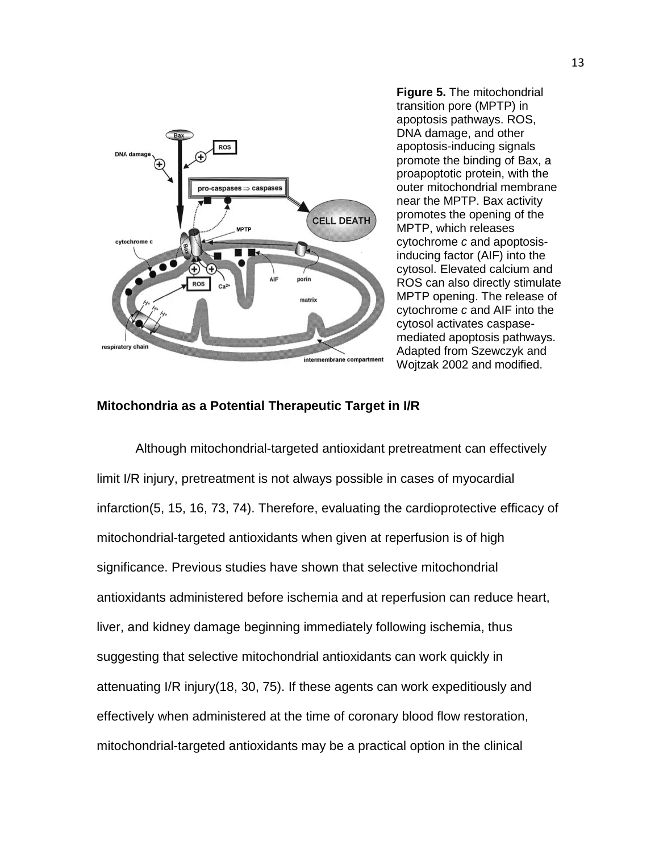

**Figure 5.** The mitochondrial transition pore (MPTP) in apoptosis pathways. ROS, DNA damage, and other apoptosis-inducing signals promote the binding of Bax, a proapoptotic protein, with the outer mitochondrial membrane near the MPTP. Bax activity promotes the opening of the MPTP, which releases cytochrome *c* and apoptosisinducing factor (AIF) into the cytosol. Elevated calcium and ROS can also directly stimulate MPTP opening. The release of cytochrome *c* and AIF into the cytosol activates caspasemediated apoptosis pathways. Adapted from Szewczyk and Wojtzak 2002 and modified.

#### **Mitochondria as a Potential Therapeutic Target in I/R**

Although mitochondrial-targeted antioxidant pretreatment can effectively limit I/R injury, pretreatment is not always possible in cases of myocardial infarction(5, 15, 16, 73, 74). Therefore, evaluating the cardioprotective efficacy of mitochondrial-targeted antioxidants when given at reperfusion is of high significance. Previous studies have shown that selective mitochondrial antioxidants administered before ischemia and at reperfusion can reduce heart, liver, and kidney damage beginning immediately following ischemia, thus suggesting that selective mitochondrial antioxidants can work quickly in attenuating I/R injury(18, 30, 75). If these agents can work expeditiously and effectively when administered at the time of coronary blood flow restoration, mitochondrial-targeted antioxidants may be a practical option in the clinical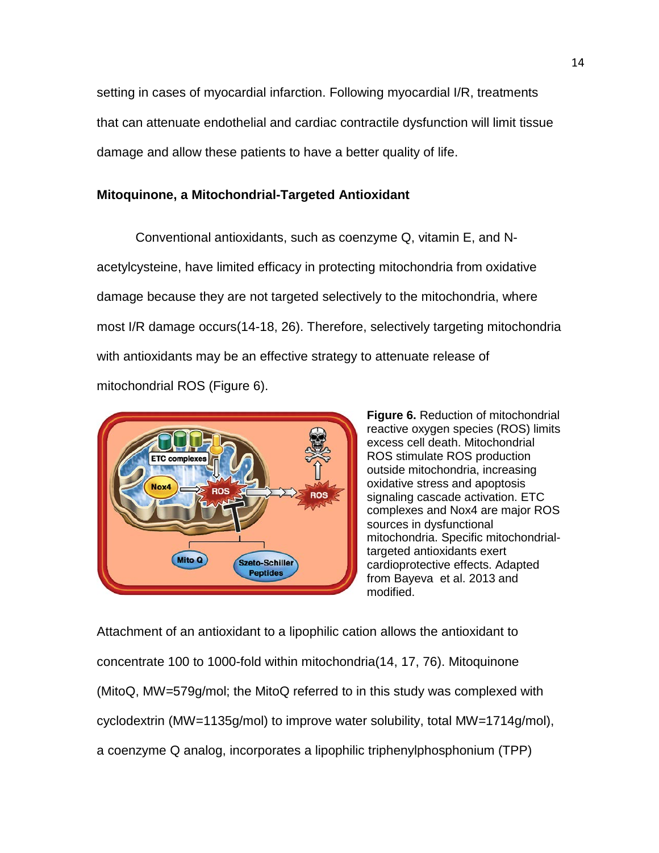setting in cases of myocardial infarction. Following myocardial I/R, treatments that can attenuate endothelial and cardiac contractile dysfunction will limit tissue damage and allow these patients to have a better quality of life.

# **Mitoquinone, a Mitochondrial-Targeted Antioxidant**

Conventional antioxidants, such as coenzyme Q, vitamin E, and Nacetylcysteine, have limited efficacy in protecting mitochondria from oxidative damage because they are not targeted selectively to the mitochondria, where most I/R damage occurs(14-18, 26). Therefore, selectively targeting mitochondria with antioxidants may be an effective strategy to attenuate release of mitochondrial ROS (Figure 6).



**Figure 6.** Reduction of mitochondrial reactive oxygen species (ROS) limits excess cell death. Mitochondrial ROS stimulate ROS production outside mitochondria, increasing oxidative stress and apoptosis signaling cascade activation. ETC complexes and Nox4 are major ROS sources in dysfunctional mitochondria. Specific mitochondrialtargeted antioxidants exert cardioprotective effects. Adapted from Bayeva et al. 2013 and modified.

Attachment of an antioxidant to a lipophilic cation allows the antioxidant to concentrate 100 to 1000-fold within mitochondria(14, 17, 76). Mitoquinone (MitoQ, MW=579g/mol; the MitoQ referred to in this study was complexed with cyclodextrin (MW=1135g/mol) to improve water solubility, total MW=1714g/mol), a coenzyme Q analog, incorporates a lipophilic triphenylphosphonium (TPP)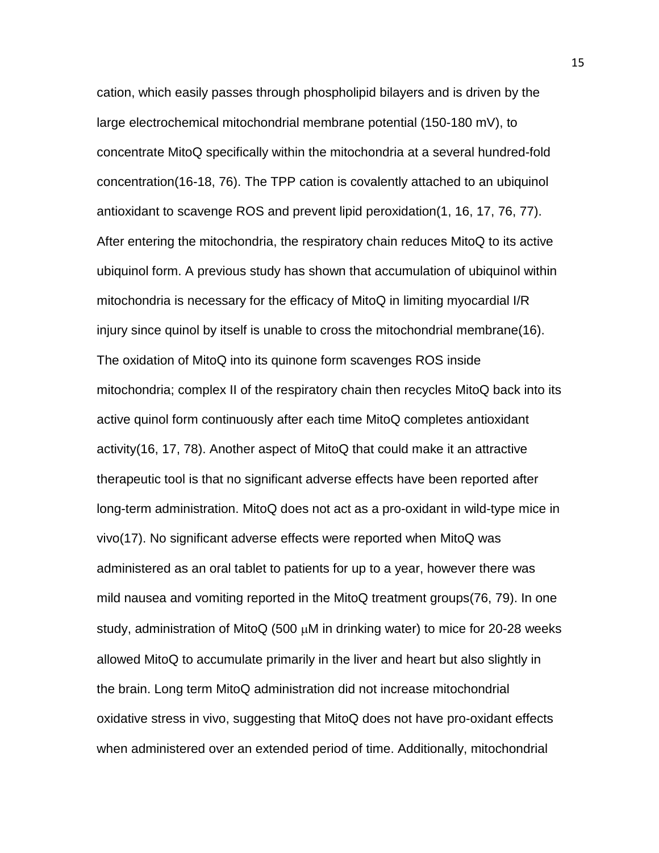cation, which easily passes through phospholipid bilayers and is driven by the large electrochemical mitochondrial membrane potential (150-180 mV), to concentrate MitoQ specifically within the mitochondria at a several hundred-fold concentration(16-18, 76). The TPP cation is covalently attached to an ubiquinol antioxidant to scavenge ROS and prevent lipid peroxidation(1, 16, 17, 76, 77). After entering the mitochondria, the respiratory chain reduces MitoQ to its active ubiquinol form. A previous study has shown that accumulation of ubiquinol within mitochondria is necessary for the efficacy of MitoQ in limiting myocardial I/R injury since quinol by itself is unable to cross the mitochondrial membrane(16). The oxidation of MitoQ into its quinone form scavenges ROS inside mitochondria; complex II of the respiratory chain then recycles MitoQ back into its active quinol form continuously after each time MitoQ completes antioxidant activity(16, 17, 78). Another aspect of MitoQ that could make it an attractive therapeutic tool is that no significant adverse effects have been reported after long-term administration. MitoQ does not act as a pro-oxidant in wild-type mice in vivo(17). No significant adverse effects were reported when MitoQ was administered as an oral tablet to patients for up to a year, however there was mild nausea and vomiting reported in the MitoQ treatment groups(76, 79). In one study, administration of MitoQ (500 µM in drinking water) to mice for 20-28 weeks allowed MitoQ to accumulate primarily in the liver and heart but also slightly in the brain. Long term MitoQ administration did not increase mitochondrial oxidative stress in vivo, suggesting that MitoQ does not have pro-oxidant effects when administered over an extended period of time. Additionally, mitochondrial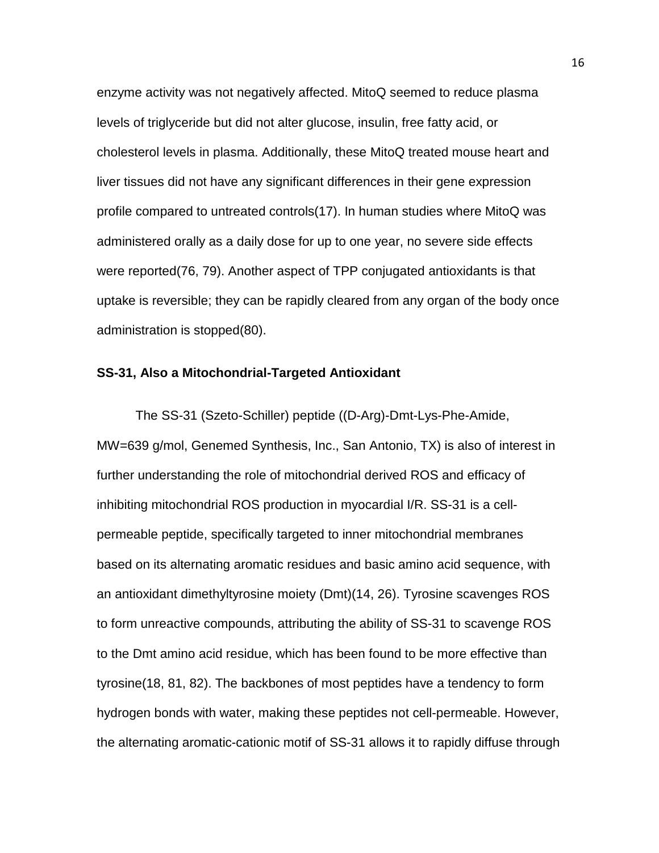enzyme activity was not negatively affected. MitoQ seemed to reduce plasma levels of triglyceride but did not alter glucose, insulin, free fatty acid, or cholesterol levels in plasma. Additionally, these MitoQ treated mouse heart and liver tissues did not have any significant differences in their gene expression profile compared to untreated controls(17). In human studies where MitoQ was administered orally as a daily dose for up to one year, no severe side effects were reported(76, 79). Another aspect of TPP conjugated antioxidants is that uptake is reversible; they can be rapidly cleared from any organ of the body once administration is stopped(80).

## **SS-31, Also a Mitochondrial-Targeted Antioxidant**

The SS-31 (Szeto-Schiller) peptide ((D-Arg)-Dmt-Lys-Phe-Amide, MW=639 g/mol, Genemed Synthesis, Inc., San Antonio, TX) is also of interest in further understanding the role of mitochondrial derived ROS and efficacy of inhibiting mitochondrial ROS production in myocardial I/R. SS-31 is a cellpermeable peptide, specifically targeted to inner mitochondrial membranes based on its alternating aromatic residues and basic amino acid sequence, with an antioxidant dimethyltyrosine moiety (Dmt)(14, 26). Tyrosine scavenges ROS to form unreactive compounds, attributing the ability of SS-31 to scavenge ROS to the Dmt amino acid residue, which has been found to be more effective than tyrosine(18, 81, 82). The backbones of most peptides have a tendency to form hydrogen bonds with water, making these peptides not cell-permeable. However, the alternating aromatic-cationic motif of SS-31 allows it to rapidly diffuse through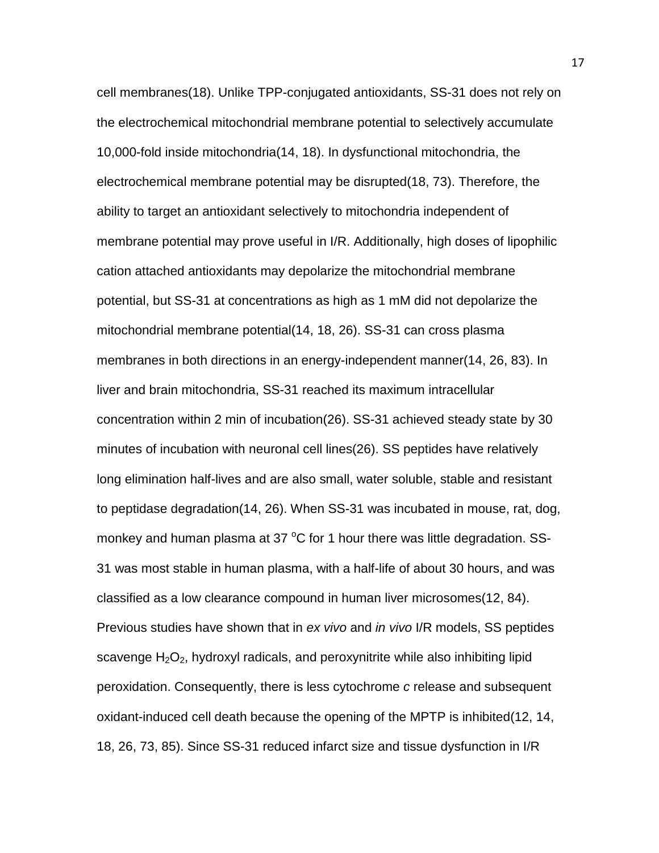cell membranes(18). Unlike TPP-conjugated antioxidants, SS-31 does not rely on the electrochemical mitochondrial membrane potential to selectively accumulate 10,000-fold inside mitochondria(14, 18). In dysfunctional mitochondria, the electrochemical membrane potential may be disrupted(18, 73). Therefore, the ability to target an antioxidant selectively to mitochondria independent of membrane potential may prove useful in I/R. Additionally, high doses of lipophilic cation attached antioxidants may depolarize the mitochondrial membrane potential, but SS-31 at concentrations as high as 1 mM did not depolarize the mitochondrial membrane potential(14, 18, 26). SS-31 can cross plasma membranes in both directions in an energy-independent manner(14, 26, 83). In liver and brain mitochondria, SS-31 reached its maximum intracellular concentration within 2 min of incubation(26). SS-31 achieved steady state by 30 minutes of incubation with neuronal cell lines(26). SS peptides have relatively long elimination half-lives and are also small, water soluble, stable and resistant to peptidase degradation(14, 26). When SS-31 was incubated in mouse, rat, dog, monkey and human plasma at 37  $^{\circ}$ C for 1 hour there was little degradation. SS-31 was most stable in human plasma, with a half-life of about 30 hours, and was classified as a low clearance compound in human liver microsomes(12, 84). Previous studies have shown that in *ex vivo* and *in vivo* I/R models, SS peptides scavenge  $H_2O_2$ , hydroxyl radicals, and peroxynitrite while also inhibiting lipid peroxidation. Consequently, there is less cytochrome *c* release and subsequent oxidant-induced cell death because the opening of the MPTP is inhibited(12, 14, 18, 26, 73, 85). Since SS-31 reduced infarct size and tissue dysfunction in I/R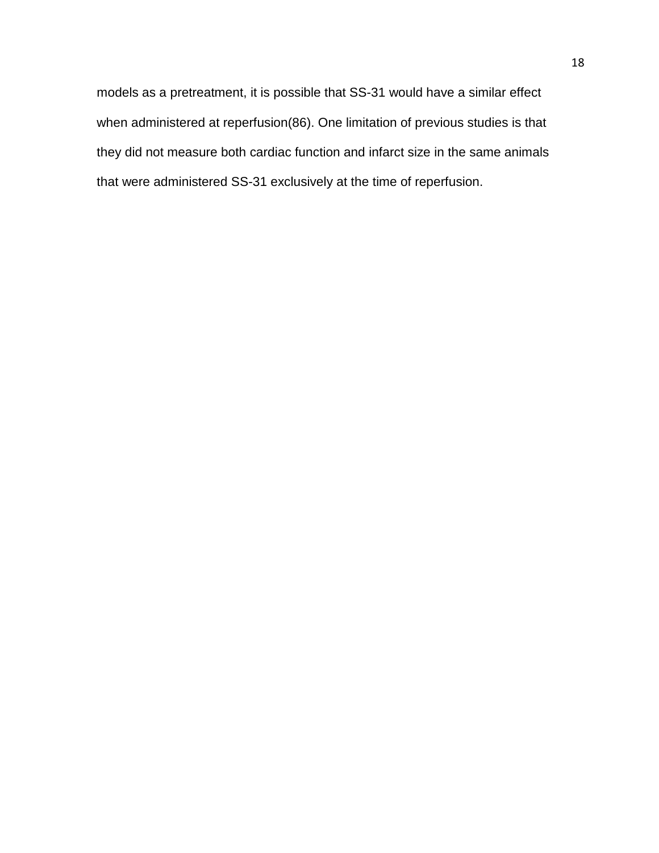models as a pretreatment, it is possible that SS-31 would have a similar effect when administered at reperfusion(86). One limitation of previous studies is that they did not measure both cardiac function and infarct size in the same animals that were administered SS-31 exclusively at the time of reperfusion.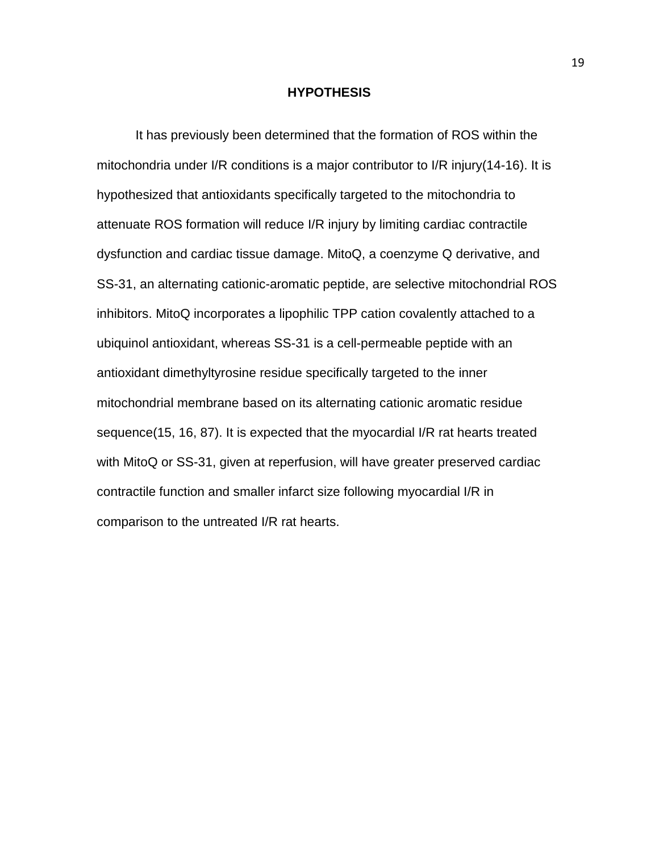#### **HYPOTHESIS**

It has previously been determined that the formation of ROS within the mitochondria under I/R conditions is a major contributor to I/R injury(14-16). It is hypothesized that antioxidants specifically targeted to the mitochondria to attenuate ROS formation will reduce I/R injury by limiting cardiac contractile dysfunction and cardiac tissue damage. MitoQ, a coenzyme Q derivative, and SS-31, an alternating cationic-aromatic peptide, are selective mitochondrial ROS inhibitors. MitoQ incorporates a lipophilic TPP cation covalently attached to a ubiquinol antioxidant, whereas SS-31 is a cell-permeable peptide with an antioxidant dimethyltyrosine residue specifically targeted to the inner mitochondrial membrane based on its alternating cationic aromatic residue sequence(15, 16, 87). It is expected that the myocardial I/R rat hearts treated with MitoQ or SS-31, given at reperfusion, will have greater preserved cardiac contractile function and smaller infarct size following myocardial I/R in comparison to the untreated I/R rat hearts.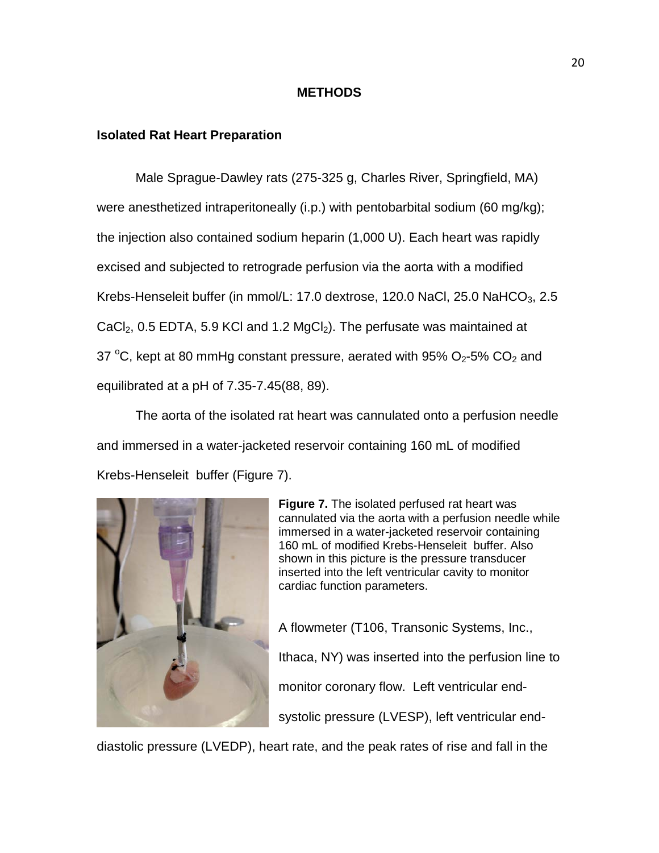#### **METHODS**

#### **Isolated Rat Heart Preparation**

Male Sprague-Dawley rats (275-325 g, Charles River, Springfield, MA) were anesthetized intraperitoneally (i.p.) with pentobarbital sodium (60 mg/kg); the injection also contained sodium heparin (1,000 U). Each heart was rapidly excised and subjected to retrograde perfusion via the aorta with a modified Krebs-Henseleit buffer (in mmol/L: 17.0 dextrose, 120.0 NaCl, 25.0 NaHCO $_3$ , 2.5 CaCl<sub>2</sub>, 0.5 EDTA, 5.9 KCl and 1.2 MgCl<sub>2</sub>). The perfusate was maintained at 37 °C, kept at 80 mmHg constant pressure, aerated with 95%  $O_2$ -5%  $CO_2$  and equilibrated at a pH of 7.35-7.45(88, 89).

The aorta of the isolated rat heart was cannulated onto a perfusion needle and immersed in a water-jacketed reservoir containing 160 mL of modified Krebs-Henseleit buffer (Figure 7).



**Figure 7.** The isolated perfused rat heart was cannulated via the aorta with a perfusion needle while immersed in a water-jacketed reservoir containing 160 mL of modified Krebs-Henseleit buffer. Also shown in this picture is the pressure transducer inserted into the left ventricular cavity to monitor cardiac function parameters.

A flowmeter (T106, Transonic Systems, Inc., Ithaca, NY) was inserted into the perfusion line to monitor coronary flow. Left ventricular endsystolic pressure (LVESP), left ventricular end-

diastolic pressure (LVEDP), heart rate, and the peak rates of rise and fall in the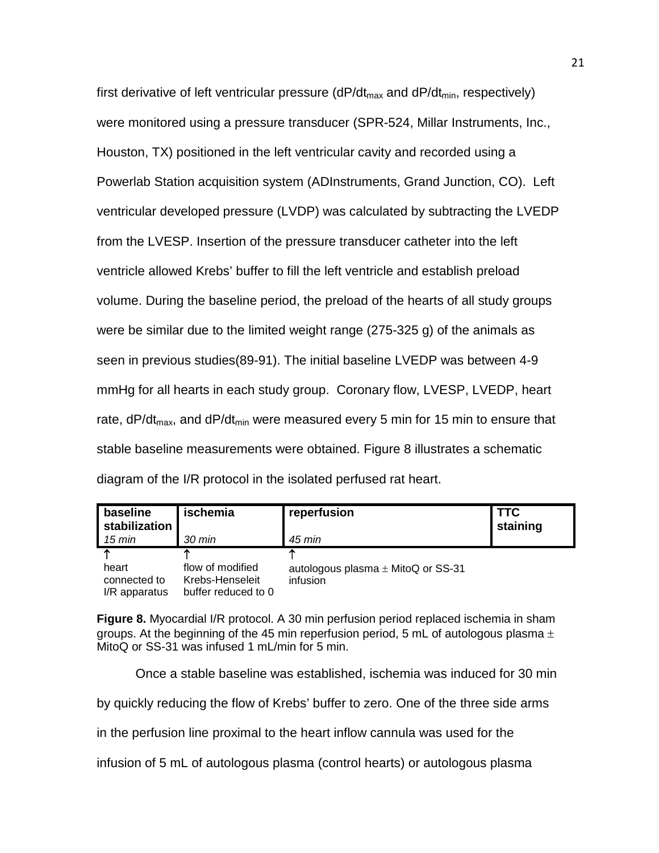first derivative of left ventricular pressure ( $dP/dt_{max}$  and  $dP/dt_{min}$ , respectively) were monitored using a pressure transducer (SPR-524, Millar Instruments, Inc., Houston, TX) positioned in the left ventricular cavity and recorded using a Powerlab Station acquisition system (ADInstruments, Grand Junction, CO). Left ventricular developed pressure (LVDP) was calculated by subtracting the LVEDP from the LVESP. Insertion of the pressure transducer catheter into the left ventricle allowed Krebs' buffer to fill the left ventricle and establish preload volume. During the baseline period, the preload of the hearts of all study groups were be similar due to the limited weight range (275-325 g) of the animals as seen in previous studies(89-91). The initial baseline LVEDP was between 4-9 mmHg for all hearts in each study group. Coronary flow, LVESP, LVEDP, heart rate,  $dP/dt_{max}$ , and  $dP/dt_{min}$  were measured every 5 min for 15 min to ensure that stable baseline measurements were obtained. Figure 8 illustrates a schematic diagram of the I/R protocol in the isolated perfused rat heart.

| baseline<br>stabilization              | ischemia                                                   | reperfusion                                             | <b>TTC</b><br>staining |
|----------------------------------------|------------------------------------------------------------|---------------------------------------------------------|------------------------|
| 15 min                                 | 30 min                                                     | 45 min                                                  |                        |
| heart<br>connected to<br>I/R apparatus | flow of modified<br>Krebs-Henseleit<br>buffer reduced to 0 | ́<br>autologous plasma $\pm$ MitoQ or SS-31<br>infusion |                        |

**Figure 8.** Myocardial I/R protocol. A 30 min perfusion period replaced ischemia in sham groups. At the beginning of the 45 min reperfusion period, 5 mL of autologous plasma  $\pm$ MitoQ or SS-31 was infused 1 mL/min for 5 min.

Once a stable baseline was established, ischemia was induced for 30 min

by quickly reducing the flow of Krebs' buffer to zero. One of the three side arms

in the perfusion line proximal to the heart inflow cannula was used for the

infusion of 5 mL of autologous plasma (control hearts) or autologous plasma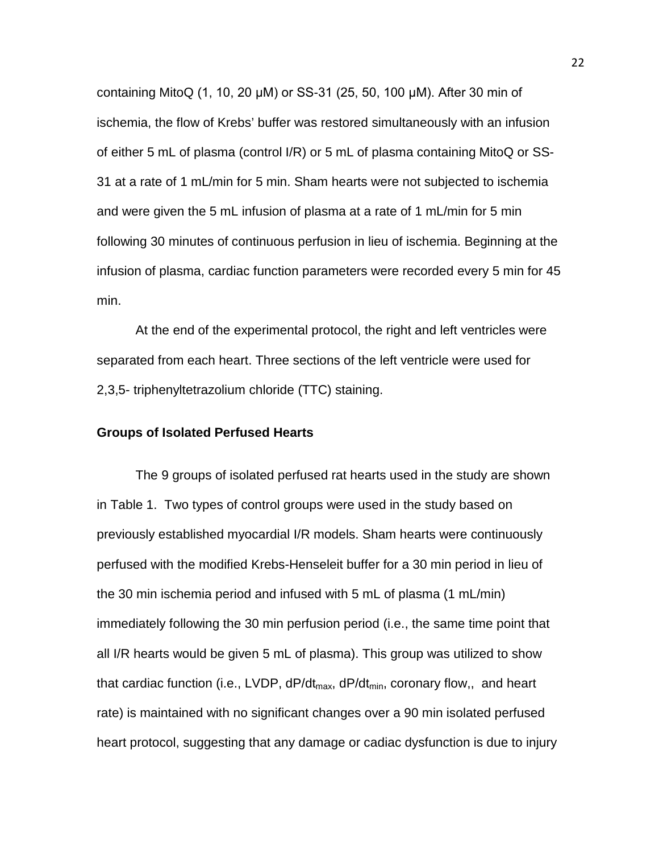containing MitoQ (1, 10, 20 μM) or SS-31 (25, 50, 100 μM). After 30 min of ischemia, the flow of Krebs' buffer was restored simultaneously with an infusion of either 5 mL of plasma (control I/R) or 5 mL of plasma containing MitoQ or SS-31 at a rate of 1 mL/min for 5 min. Sham hearts were not subjected to ischemia and were given the 5 mL infusion of plasma at a rate of 1 mL/min for 5 min following 30 minutes of continuous perfusion in lieu of ischemia. Beginning at the infusion of plasma, cardiac function parameters were recorded every 5 min for 45 min.

At the end of the experimental protocol, the right and left ventricles were separated from each heart. Three sections of the left ventricle were used for 2,3,5- triphenyltetrazolium chloride (TTC) staining.

# **Groups of Isolated Perfused Hearts**

The 9 groups of isolated perfused rat hearts used in the study are shown in Table 1. Two types of control groups were used in the study based on previously established myocardial I/R models. Sham hearts were continuously perfused with the modified Krebs-Henseleit buffer for a 30 min period in lieu of the 30 min ischemia period and infused with 5 mL of plasma (1 mL/min) immediately following the 30 min perfusion period (i.e., the same time point that all I/R hearts would be given 5 mL of plasma). This group was utilized to show that cardiac function (i.e., LVDP,  $dP/dt_{max}$ ,  $dP/dt_{min}$ , coronary flow,, and heart rate) is maintained with no significant changes over a 90 min isolated perfused heart protocol, suggesting that any damage or cadiac dysfunction is due to injury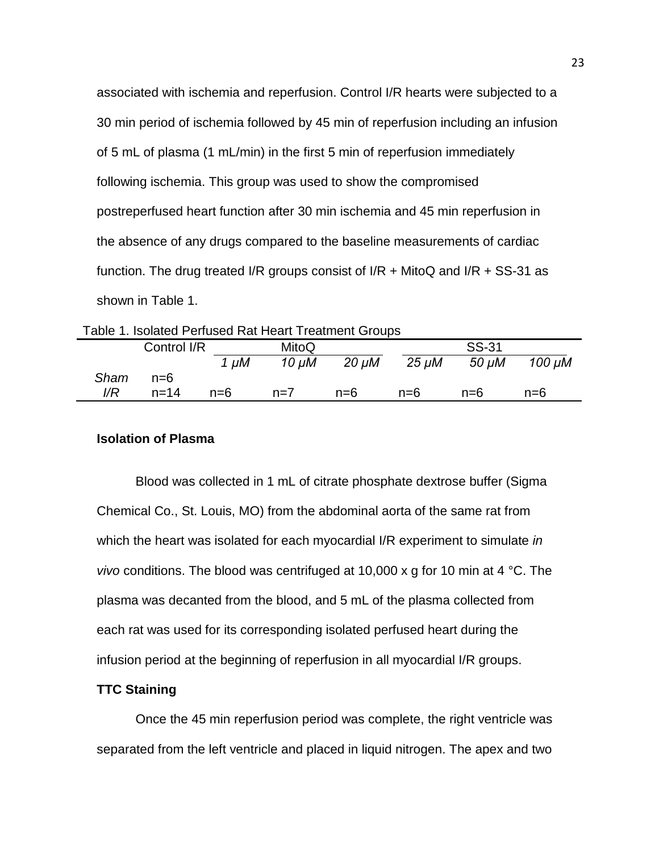associated with ischemia and reperfusion. Control I/R hearts were subjected to a 30 min period of ischemia followed by 45 min of reperfusion including an infusion of 5 mL of plasma (1 mL/min) in the first 5 min of reperfusion immediately following ischemia. This group was used to show the compromised postreperfused heart function after 30 min ischemia and 45 min reperfusion in the absence of any drugs compared to the baseline measurements of cardiac function. The drug treated I/R groups consist of I/R  $+$  MitoQ and I/R  $+$  SS-31 as shown in Table 1.

Table 1. Isolated Perfused Rat Heart Treatment Groups

| Control I/R<br>MitoQ |          | <b>SS-31</b> |            |            |            |       |        |
|----------------------|----------|--------------|------------|------------|------------|-------|--------|
|                      |          | 1 µM         | $10 \mu M$ | $20 \mu M$ | $25 \mu M$ | 50 µM | 100 µM |
| Sham                 | $n=6$    |              |            |            |            |       |        |
| $\sqrt{R}$           | $n = 14$ | $n=6$        | $n=7$      | $n=6$      | $n=6$      | $n=6$ | n=6    |

## **Isolation of Plasma**

Blood was collected in 1 mL of citrate phosphate dextrose buffer (Sigma Chemical Co., St. Louis, MO) from the abdominal aorta of the same rat from which the heart was isolated for each myocardial I/R experiment to simulate *in vivo* conditions. The blood was centrifuged at 10,000 x g for 10 min at 4 °C. The plasma was decanted from the blood, and 5 mL of the plasma collected from each rat was used for its corresponding isolated perfused heart during the infusion period at the beginning of reperfusion in all myocardial I/R groups.

# **TTC Staining**

Once the 45 min reperfusion period was complete, the right ventricle was separated from the left ventricle and placed in liquid nitrogen. The apex and two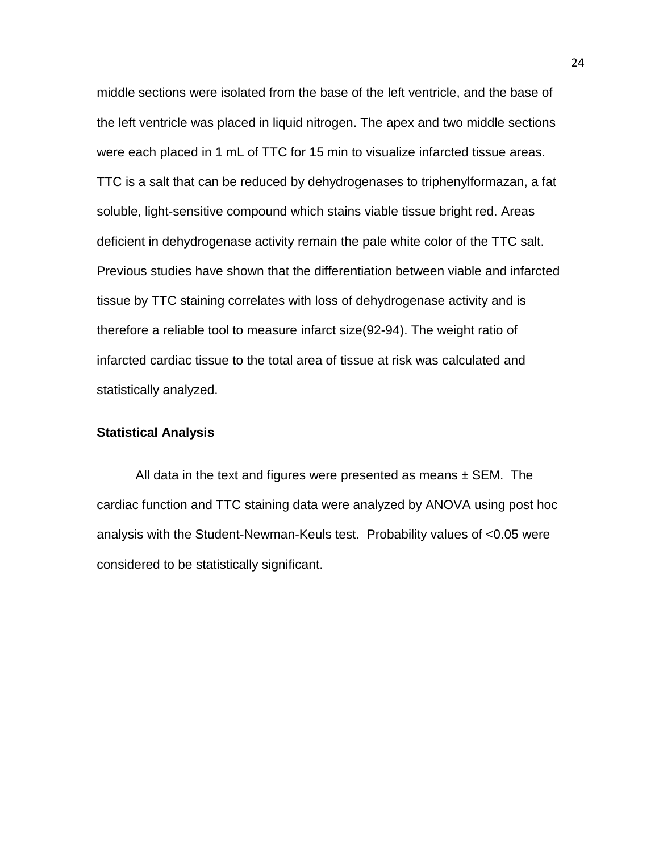middle sections were isolated from the base of the left ventricle, and the base of the left ventricle was placed in liquid nitrogen. The apex and two middle sections were each placed in 1 mL of TTC for 15 min to visualize infarcted tissue areas. TTC is a salt that can be reduced by dehydrogenases to triphenylformazan, a fat soluble, light-sensitive compound which stains viable tissue bright red. Areas deficient in dehydrogenase activity remain the pale white color of the TTC salt. Previous studies have shown that the differentiation between viable and infarcted tissue by TTC staining correlates with loss of dehydrogenase activity and is therefore a reliable tool to measure infarct size(92-94). The weight ratio of infarcted cardiac tissue to the total area of tissue at risk was calculated and statistically analyzed.

# **Statistical Analysis**

All data in the text and figures were presented as means  $\pm$  SEM. The cardiac function and TTC staining data were analyzed by ANOVA using post hoc analysis with the Student-Newman-Keuls test. Probability values of <0.05 were considered to be statistically significant.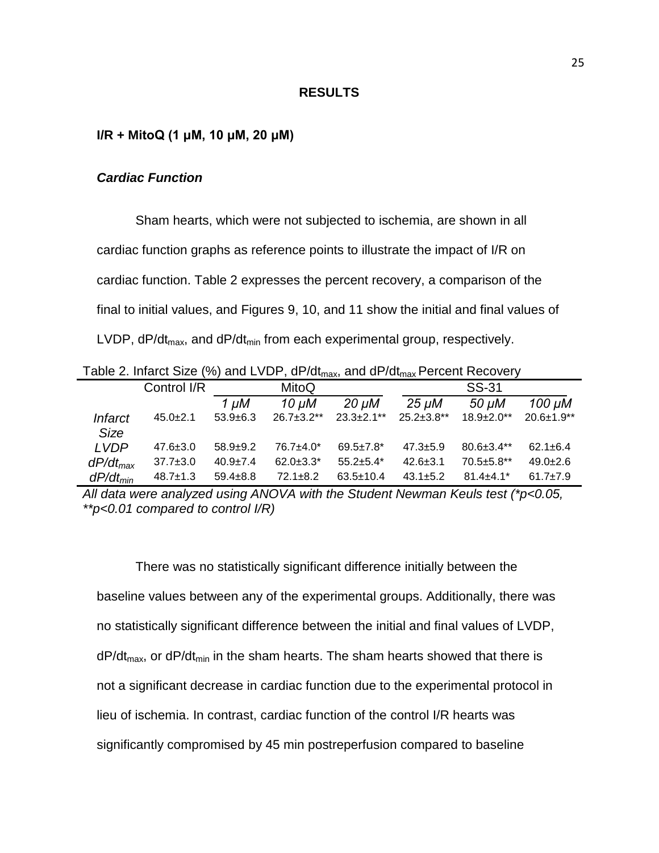#### **RESULTS**

#### **I/R + MitoQ (1 μM, 10 μM, 20 μM)**

### *Cardiac Function*

Sham hearts, which were not subjected to ischemia, are shown in all cardiac function graphs as reference points to illustrate the impact of I/R on cardiac function. Table 2 expresses the percent recovery, a comparison of the final to initial values, and Figures 9, 10, and 11 show the initial and final values of LVDP,  $dP/dt_{max}$ , and  $dP/dt_{min}$  from each experimental group, respectively.

Table 2. Infarct Size (%) and LVDP,  $dP/dt_{max}$ , and  $dP/dt_{max}$  Percent Recovery

|                | Control I/R    |                | MitoQ             |                             |                   | <b>SS-31</b>      |                  |
|----------------|----------------|----------------|-------------------|-----------------------------|-------------------|-------------------|------------------|
|                |                | 1 µM           | 10 µM             | $20 \mu M$                  | $25 \mu M$        | 50 µM             | $100 \mu M$      |
| <b>Infarct</b> | $45.0 \pm 2.1$ | $53.9+6.3$     | $26.7 \pm 3.2$ ** | $23.3 \pm 2.1$ **           | $25.2 \pm 3.8$ ** | $18.9 \pm 2.0$ ** | $20.6 \pm 1.9**$ |
| <b>Size</b>    |                |                |                   |                             |                   |                   |                  |
| <b>LVDP</b>    | $47.6 \pm 3.0$ | $58.9 + 9.2$   | $76.7 + 4.0*$     | $69.5 \pm 7.8$ <sup>*</sup> | $47.3 \pm 5.9$    | $80.6 \pm 3.4$ ** | $62.1 \pm 6.4$   |
| $dP/dt_{max}$  | $37.7 \pm 3.0$ | $40.9 \pm 7.4$ | $62.0 \pm 3.3^*$  | $55.2 + 5.4*$               | $42.6 \pm 3.1$    | $70.5 \pm 5.8$ ** | $49.0 + 2.6$     |
| $dP/dt_{min}$  | $48.7 \pm 1.3$ | $59.4 + 8.8$   | $72.1 \pm 8.2$    | $63.5 \pm 10.4$             | $43.1 \pm 5.2$    | $81.4 + 4.1*$     | $61.7 + 7.9$     |

*All data were analyzed using ANOVA with the Student Newman Keuls test (\*p<0.05, \*\*p<0.01 compared to control I/R)*

There was no statistically significant difference initially between the baseline values between any of the experimental groups. Additionally, there was no statistically significant difference between the initial and final values of LVDP,  $dP/dt_{max}$ , or  $dP/dt_{min}$  in the sham hearts. The sham hearts showed that there is not a significant decrease in cardiac function due to the experimental protocol in lieu of ischemia. In contrast, cardiac function of the control I/R hearts was significantly compromised by 45 min postreperfusion compared to baseline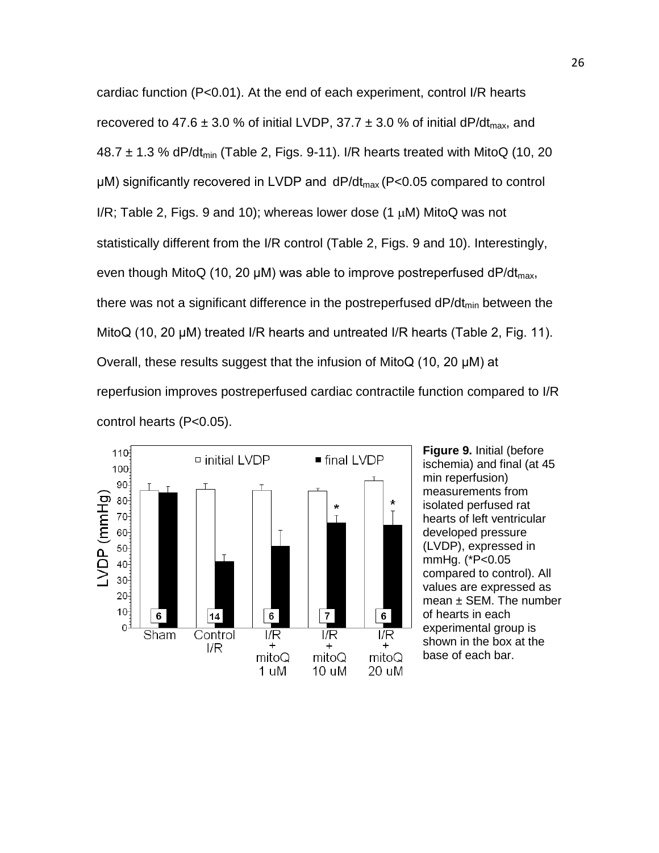cardiac function (P<0.01). At the end of each experiment, control I/R hearts recovered to 47.6  $\pm$  3.0 % of initial LVDP, 37.7  $\pm$  3.0 % of initial dP/dt<sub>max</sub>, and 48.7  $\pm$  1.3 % dP/dt<sub>min</sub> (Table 2, Figs. 9-11). I/R hearts treated with MitoQ (10, 20  $\mu$ M) significantly recovered in LVDP and dP/dt<sub>max</sub> (P<0.05 compared to control I/R; Table 2, Figs. 9 and 10); whereas lower dose (1  $\mu$ M) MitoQ was not statistically different from the I/R control (Table 2, Figs. 9 and 10). Interestingly, even though MitoQ (10, 20  $\mu$ M) was able to improve postreperfused dP/dt<sub>max</sub>, there was not a significant difference in the postreperfused  $dP/dt_{min}$  between the MitoQ (10, 20 μM) treated I/R hearts and untreated I/R hearts (Table 2, Fig. 11). Overall, these results suggest that the infusion of MitoQ (10, 20 μM) at reperfusion improves postreperfused cardiac contractile function compared to I/R control hearts (P<0.05).



**Figure 9.** Initial (before ischemia) and final (at 45 min reperfusion) measurements from isolated perfused rat hearts of left ventricular developed pressure (LVDP), expressed in mmHg. (\*P<0.05 compared to control). All values are expressed as  $mean \pm SEM$ . The number of hearts in each experimental group is shown in the box at the base of each bar.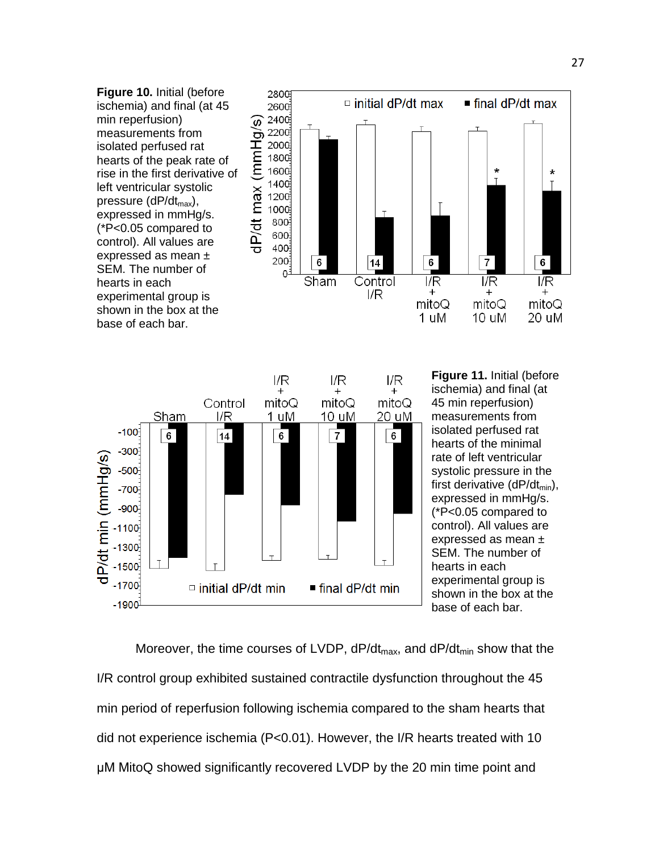



**Figure 11.** Initial (before ischemia) and final (at 45 min reperfusion) measurements from isolated perfused rat hearts of the minimal rate of left ventricular systolic pressure in the first derivative (dP/dt<sub>min</sub>), expressed in mmHg/s. (\*P<0.05 compared to control). All values are expressed as mean ± SEM. The number of hearts in each experimental group is shown in the box at the base of each bar.

Moreover, the time courses of LVDP,  $dP/dt_{max}$ , and  $dP/dt_{min}$  show that the I/R control group exhibited sustained contractile dysfunction throughout the 45 min period of reperfusion following ischemia compared to the sham hearts that did not experience ischemia (P<0.01). However, the I/R hearts treated with 10 μM MitoQ showed significantly recovered LVDP by the 20 min time point and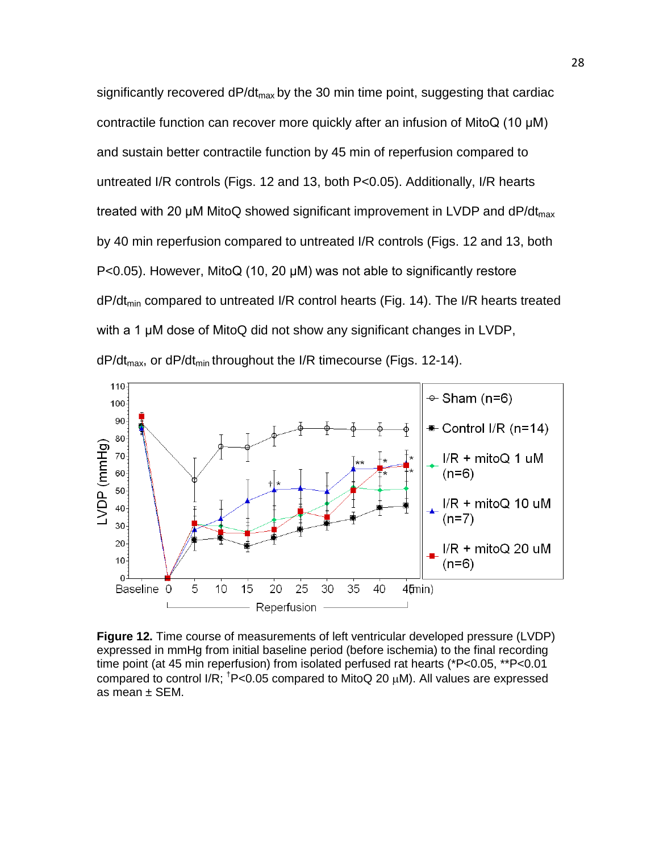significantly recovered  $dP/dt_{max}$  by the 30 min time point, suggesting that cardiac contractile function can recover more quickly after an infusion of MitoQ (10 μM) and sustain better contractile function by 45 min of reperfusion compared to untreated I/R controls (Figs. 12 and 13, both P<0.05). Additionally, I/R hearts treated with 20  $\mu$ M MitoQ showed significant improvement in LVDP and dP/dt<sub>max</sub> by 40 min reperfusion compared to untreated I/R controls (Figs. 12 and 13, both P<0.05). However, MitoQ (10, 20 μM) was not able to significantly restore  $dP/dt_{min}$  compared to untreated I/R control hearts (Fig. 14). The I/R hearts treated with a 1 μM dose of MitoQ did not show any significant changes in LVDP,  $dP/dt_{max}$ , or  $dP/dt_{min}$  throughout the I/R timecourse (Figs. 12-14).



**Figure 12.** Time course of measurements of left ventricular developed pressure (LVDP) expressed in mmHg from initial baseline period (before ischemia) to the final recording time point (at 45 min reperfusion) from isolated perfused rat hearts (\*P<0.05, \*\*P<0.01 compared to control I/R;  $\textsuperscript{†}P$ <0.05 compared to MitoQ 20  $\mu$ M). All values are expressed as mean ± SEM.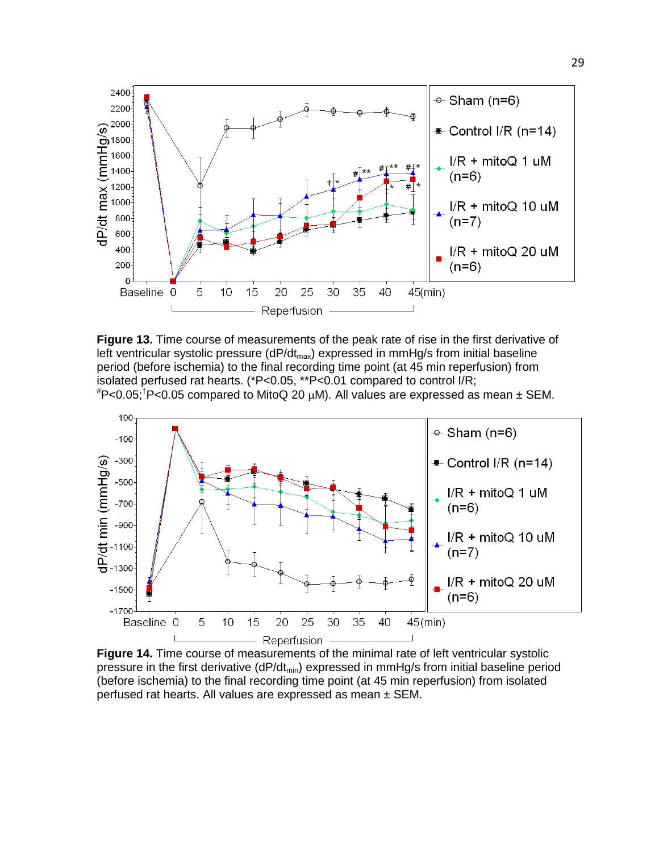

**Figure 13.** Time course of measurements of the peak rate of rise in the first derivative of left ventricular systolic pressure ( $dP/dt_{max}$ ) expressed in mmHg/s from initial baseline period (before ischemia) to the final recording time point (at 45 min reperfusion) from isolated perfused rat hearts. (\*P<0.05, \*\*P<0.01 compared to control I/R;





**Figure 14.** Time course of measurements of the minimal rate of left ventricular systolic pressure in the first derivative ( $dP/dt_{min}$ ) expressed in mmHg/s from initial baseline period (before ischemia) to the final recording time point (at 45 min reperfusion) from isolated perfused rat hearts. All values are expressed as mean ± SEM.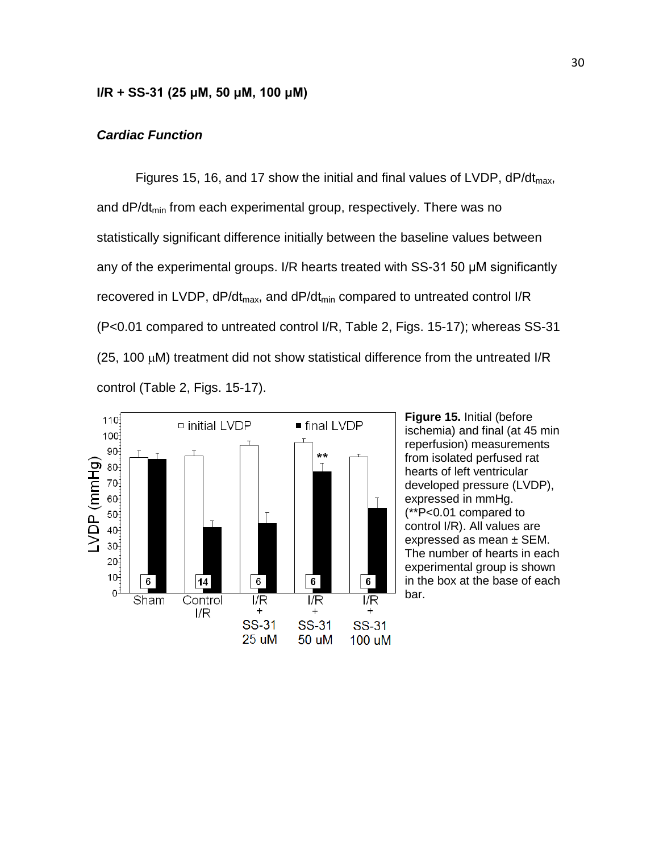#### **I/R + SS-31 (25 μM, 50 μM, 100 μM)**

#### *Cardiac Function*

Figures 15, 16, and 17 show the initial and final values of LVDP,  $dP/dt_{max}$ , and dP/dt<sub>min</sub> from each experimental group, respectively. There was no statistically significant difference initially between the baseline values between any of the experimental groups. I/R hearts treated with SS-31 50 μM significantly recovered in LVDP,  $dP/dt_{max}$ , and  $dP/dt_{min}$  compared to untreated control I/R (P<0.01 compared to untreated control I/R, Table 2, Figs. 15-17); whereas SS-31 (25, 100 µM) treatment did not show statistical difference from the untreated I/R control (Table 2, Figs. 15-17).



**Figure 15.** Initial (before ischemia) and final (at 45 min reperfusion) measurements from isolated perfused rat hearts of left ventricular developed pressure (LVDP), expressed in mmHg. (\*\*P<0.01 compared to control I/R). All values are expressed as mean ± SEM. The number of hearts in each experimental group is shown in the box at the base of each bar.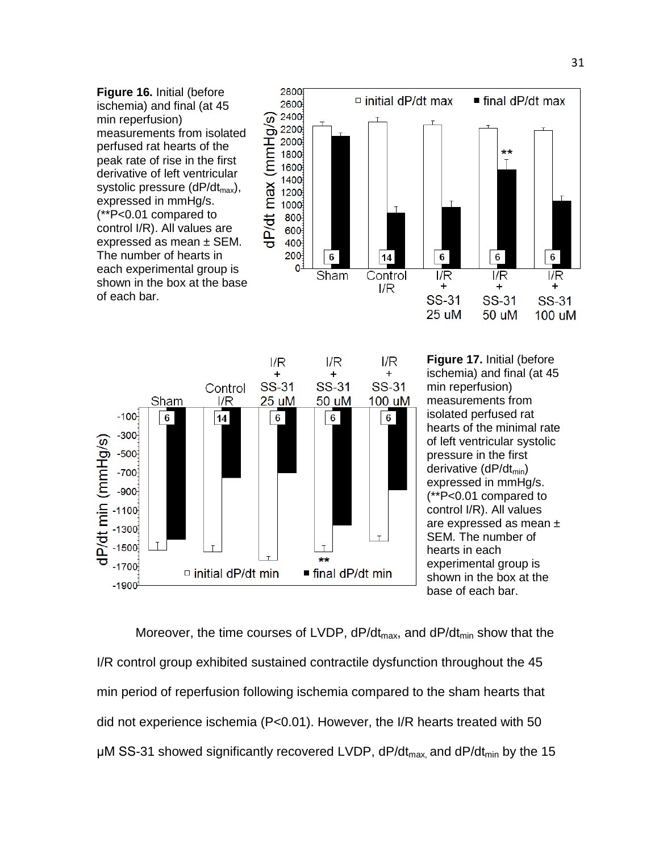**Figure 16.** Initial (before ischemia) and final (at 45 min reperfusion) measurements from isolated perfused rat hearts of the peak rate of rise in the first derivative of left ventricular systolic pressure  $(dP/dt_{max})$ , expressed in mmHg/s. (\*\*P<0.01 compared to control I/R). All values are expressed as mean  $\pm$  SEM. The number of hearts in each experimental group is shown in the box at the base of each bar.





**Figure 17.** Initial (before ischemia) and final (at 45 min reperfusion) measurements from isolated perfused rat hearts of the minimal rate of left ventricular systolic pressure in the first derivative  $(dP/dt_{min})$ expressed in mmHg/s. (\*\*P<0.01 compared to control I/R). All values are expressed as mean ± SEM. The number of hearts in each experimental group is shown in the box at the base of each bar.

Moreover, the time courses of LVDP,  $dP/dt_{max}$ , and  $dP/dt_{min}$  show that the I/R control group exhibited sustained contractile dysfunction throughout the 45 min period of reperfusion following ischemia compared to the sham hearts that did not experience ischemia (P<0.01). However, the I/R hearts treated with 50 μM SS-31 showed significantly recovered LVDP,  $dP/dt_{max}$  and  $dP/dt_{min}$  by the 15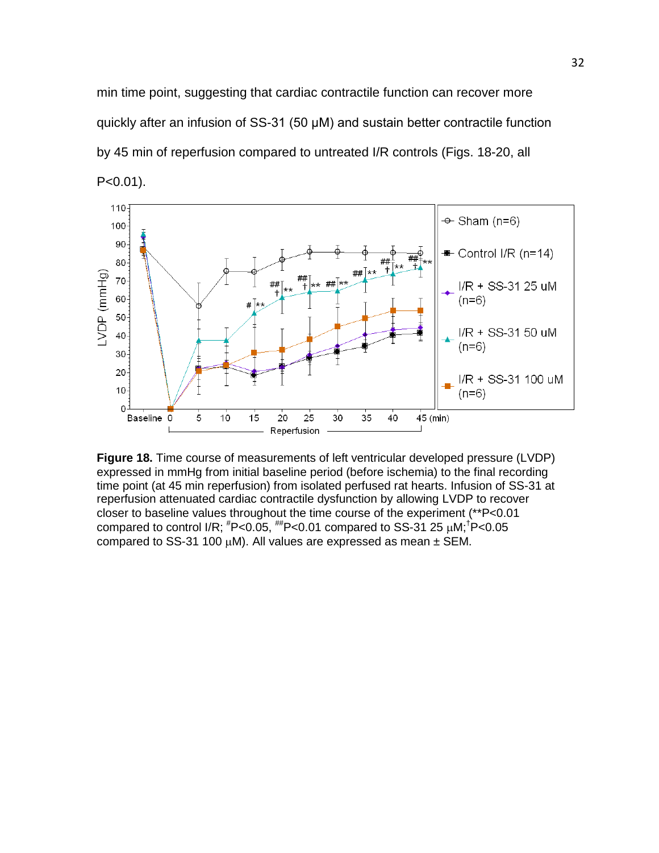min time point, suggesting that cardiac contractile function can recover more quickly after an infusion of SS-31 (50 μM) and sustain better contractile function by 45 min of reperfusion compared to untreated I/R controls (Figs. 18-20, all P<0.01).



**Figure 18.** Time course of measurements of left ventricular developed pressure (LVDP) expressed in mmHg from initial baseline period (before ischemia) to the final recording time point (at 45 min reperfusion) from isolated perfused rat hearts. Infusion of SS-31 at reperfusion attenuated cardiac contractile dysfunction by allowing LVDP to recover closer to baseline values throughout the time course of the experiment (\*\*P<0.01 compared to control I/R;  $H$ P<0.05,  $H$ P<0.01 compared to SS-31 25  $\mu$ M;<sup>†</sup>P<0.05 compared to SS-31 100  $\mu$ M). All values are expressed as mean  $\pm$  SEM.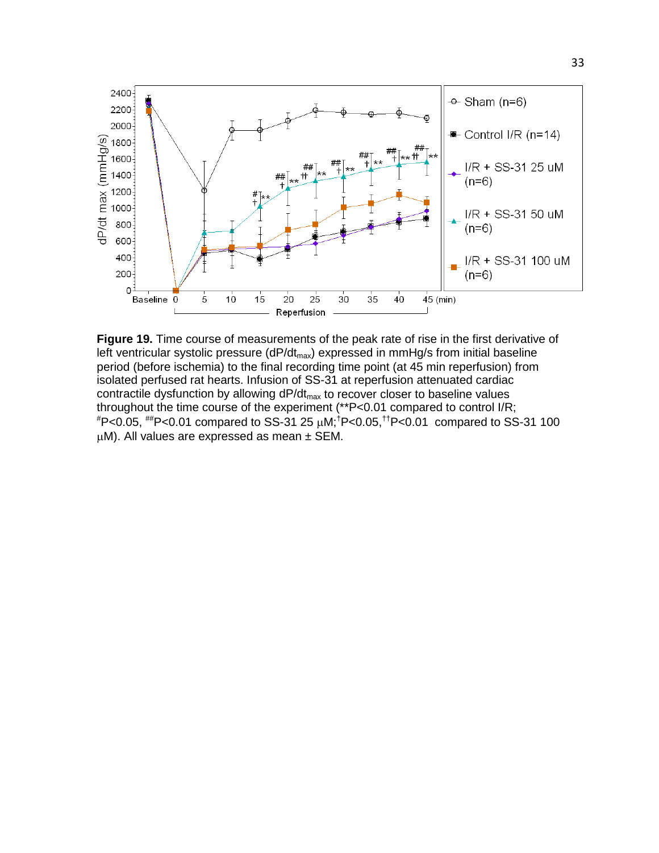

**Figure 19.** Time course of measurements of the peak rate of rise in the first derivative of left ventricular systolic pressure (dP/dt<sub>max</sub>) expressed in mmHg/s from initial baseline period (before ischemia) to the final recording time point (at 45 min reperfusion) from isolated perfused rat hearts. Infusion of SS-31 at reperfusion attenuated cardiac contractile dysfunction by allowing  $dP/dt_{max}$  to recover closer to baseline values throughout the time course of the experiment (\*\*P<0.01 compared to control I/R; # P<0.05, ##P<0.01 compared to SS-31 25 µM;† P<0.05,††P<0.01 compared to SS-31 100  $\mu$ M). All values are expressed as mean  $\pm$  SEM.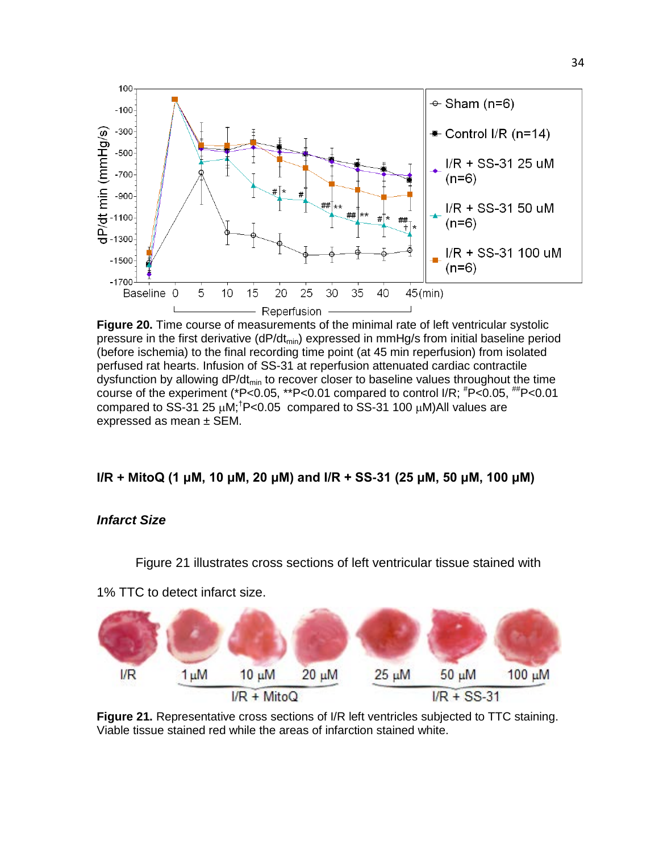

**Figure 20.** Time course of measurements of the minimal rate of left ventricular systolic pressure in the first derivative  $(dP/dt_{min})$  expressed in mmHg/s from initial baseline period (before ischemia) to the final recording time point (at 45 min reperfusion) from isolated perfused rat hearts. Infusion of SS-31 at reperfusion attenuated cardiac contractile dysfunction by allowing  $dP/dt_{min}$  to recover closer to baseline values throughout the time course of the experiment (\*P<0.05, \*\*P<0.01 compared to control I/R;  $^{\#}P$ <0.05,  $^{\#}P$ <0.01 compared to SS-31 25  $\mu$ M;<sup>†</sup>P<0.05 compared to SS-31 100  $\mu$ M)All values are expressed as mean ± SEM.

# **I/R + MitoQ (1 μM, 10 μM, 20 μM) and I/R + SS-31 (25 μM, 50 μM, 100 μM)**

#### *Infarct Size*

Figure 21 illustrates cross sections of left ventricular tissue stained with

1% TTC to detect infarct size.



**Figure 21.** Representative cross sections of I/R left ventricles subjected to TTC staining. Viable tissue stained red while the areas of infarction stained white.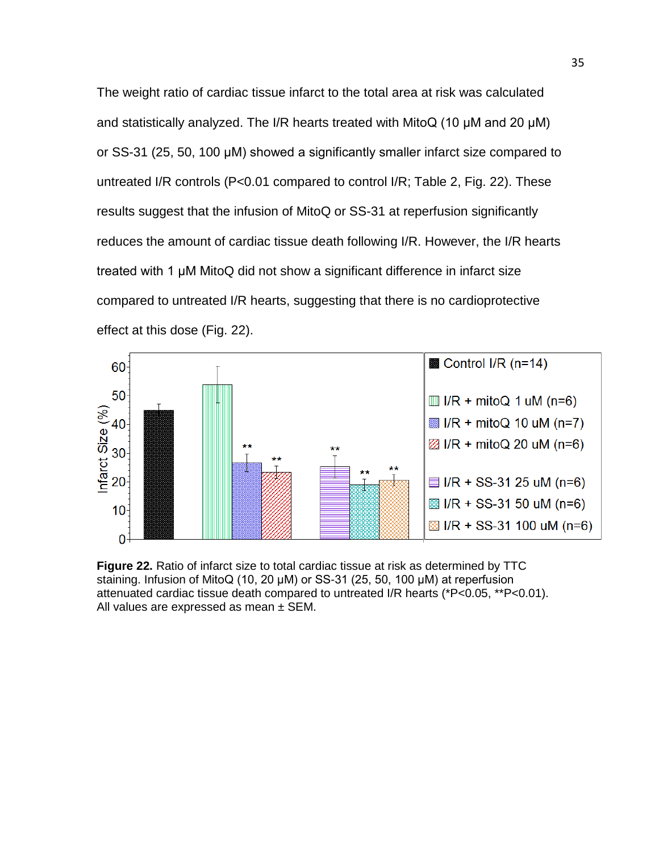The weight ratio of cardiac tissue infarct to the total area at risk was calculated and statistically analyzed. The I/R hearts treated with MitoQ (10 μM and 20 μM) or SS-31 (25, 50, 100 μM) showed a significantly smaller infarct size compared to untreated I/R controls (P<0.01 compared to control I/R; Table 2, Fig. 22). These results suggest that the infusion of MitoQ or SS-31 at reperfusion significantly reduces the amount of cardiac tissue death following I/R. However, the I/R hearts treated with 1 μM MitoQ did not show a significant difference in infarct size compared to untreated I/R hearts, suggesting that there is no cardioprotective effect at this dose (Fig. 22).



**Figure 22.** Ratio of infarct size to total cardiac tissue at risk as determined by TTC staining. Infusion of MitoQ (10, 20 μM) or SS-31 (25, 50, 100 μM) at reperfusion attenuated cardiac tissue death compared to untreated I/R hearts (\*P<0.05, \*\*P<0.01). All values are expressed as mean  $\pm$  SEM.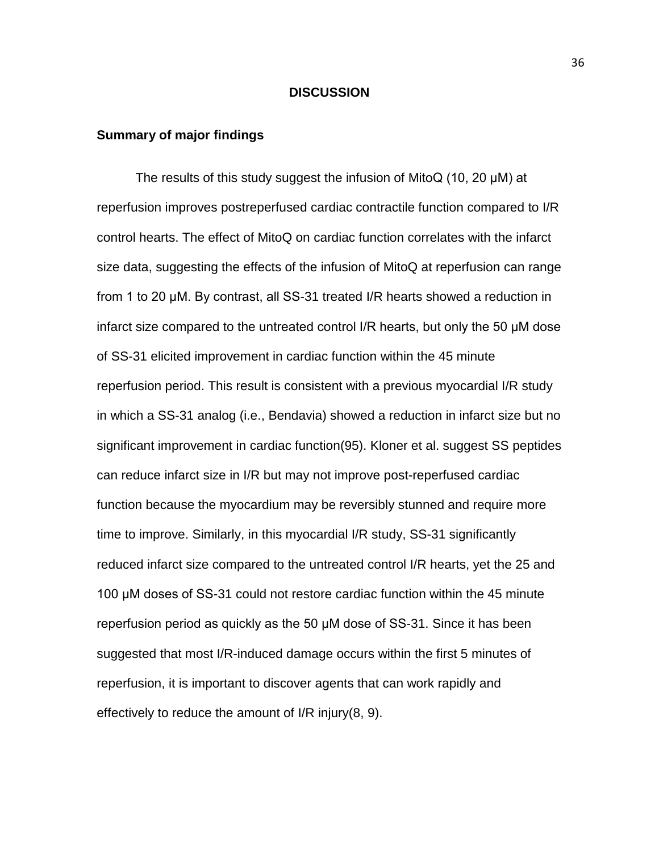#### **DISCUSSION**

#### **Summary of major findings**

The results of this study suggest the infusion of MitoQ (10, 20 μM) at reperfusion improves postreperfused cardiac contractile function compared to I/R control hearts. The effect of MitoQ on cardiac function correlates with the infarct size data, suggesting the effects of the infusion of MitoQ at reperfusion can range from 1 to 20 μM. By contrast, all SS-31 treated I/R hearts showed a reduction in infarct size compared to the untreated control I/R hearts, but only the 50 μM dose of SS-31 elicited improvement in cardiac function within the 45 minute reperfusion period. This result is consistent with a previous myocardial I/R study in which a SS-31 analog (i.e., Bendavia) showed a reduction in infarct size but no significant improvement in cardiac function(95). Kloner et al. suggest SS peptides can reduce infarct size in I/R but may not improve post-reperfused cardiac function because the myocardium may be reversibly stunned and require more time to improve. Similarly, in this myocardial I/R study, SS-31 significantly reduced infarct size compared to the untreated control I/R hearts, yet the 25 and 100 μM doses of SS-31 could not restore cardiac function within the 45 minute reperfusion period as quickly as the 50 μM dose of SS-31. Since it has been suggested that most I/R-induced damage occurs within the first 5 minutes of reperfusion, it is important to discover agents that can work rapidly and effectively to reduce the amount of I/R injury(8, 9).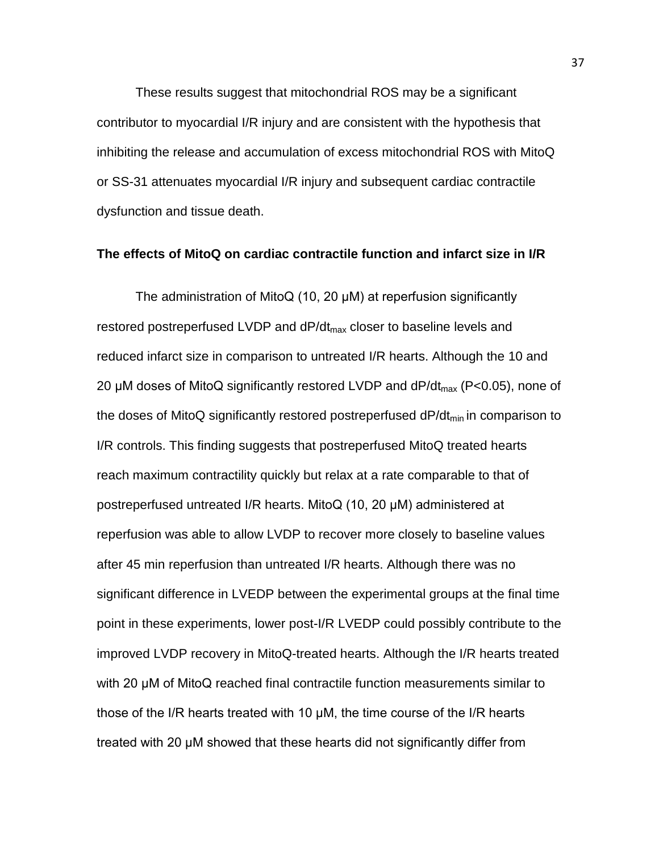These results suggest that mitochondrial ROS may be a significant contributor to myocardial I/R injury and are consistent with the hypothesis that inhibiting the release and accumulation of excess mitochondrial ROS with MitoQ or SS-31 attenuates myocardial I/R injury and subsequent cardiac contractile dysfunction and tissue death.

#### **The effects of MitoQ on cardiac contractile function and infarct size in I/R**

The administration of MitoQ (10, 20 μM) at reperfusion significantly restored postreperfused LVDP and dP/dt<sub>max</sub> closer to baseline levels and reduced infarct size in comparison to untreated I/R hearts. Although the 10 and 20  $\mu$ M doses of MitoQ significantly restored LVDP and dP/dt<sub>max</sub> (P<0.05), none of the doses of MitoQ significantly restored postreperfused  $dP/dt_{min}$  in comparison to I/R controls. This finding suggests that postreperfused MitoQ treated hearts reach maximum contractility quickly but relax at a rate comparable to that of postreperfused untreated I/R hearts. MitoQ (10, 20 μM) administered at reperfusion was able to allow LVDP to recover more closely to baseline values after 45 min reperfusion than untreated I/R hearts. Although there was no significant difference in LVEDP between the experimental groups at the final time point in these experiments, lower post-I/R LVEDP could possibly contribute to the improved LVDP recovery in MitoQ-treated hearts. Although the I/R hearts treated with 20 μM of MitoQ reached final contractile function measurements similar to those of the I/R hearts treated with 10 μM, the time course of the I/R hearts treated with 20 μM showed that these hearts did not significantly differ from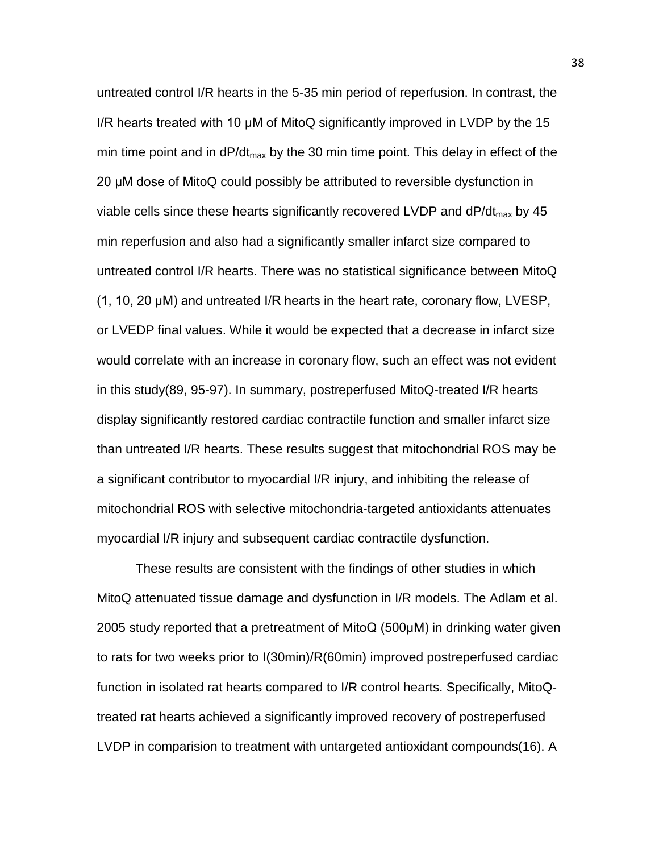untreated control I/R hearts in the 5-35 min period of reperfusion. In contrast, the I/R hearts treated with 10 μM of MitoQ significantly improved in LVDP by the 15 min time point and in  $dP/dt_{max}$  by the 30 min time point. This delay in effect of the 20 μM dose of MitoQ could possibly be attributed to reversible dysfunction in viable cells since these hearts significantly recovered LVDP and  $dP/dt_{max}$  by 45 min reperfusion and also had a significantly smaller infarct size compared to untreated control I/R hearts. There was no statistical significance between MitoQ (1, 10, 20 μM) and untreated I/R hearts in the heart rate, coronary flow, LVESP, or LVEDP final values. While it would be expected that a decrease in infarct size would correlate with an increase in coronary flow, such an effect was not evident in this study(89, 95-97). In summary, postreperfused MitoQ-treated I/R hearts display significantly restored cardiac contractile function and smaller infarct size than untreated I/R hearts. These results suggest that mitochondrial ROS may be a significant contributor to myocardial I/R injury, and inhibiting the release of mitochondrial ROS with selective mitochondria-targeted antioxidants attenuates myocardial I/R injury and subsequent cardiac contractile dysfunction.

These results are consistent with the findings of other studies in which MitoQ attenuated tissue damage and dysfunction in I/R models. The Adlam et al. 2005 study reported that a pretreatment of MitoQ (500μM) in drinking water given to rats for two weeks prior to I(30min)/R(60min) improved postreperfused cardiac function in isolated rat hearts compared to I/R control hearts. Specifically, MitoQtreated rat hearts achieved a significantly improved recovery of postreperfused LVDP in comparision to treatment with untargeted antioxidant compounds(16). A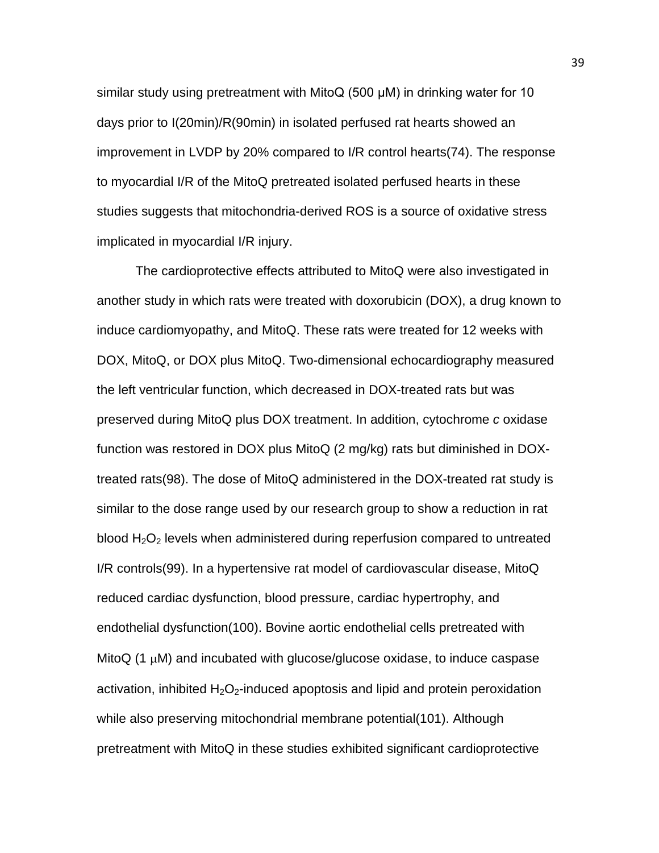similar study using pretreatment with MitoQ (500 μM) in drinking water for 10 days prior to I(20min)/R(90min) in isolated perfused rat hearts showed an improvement in LVDP by 20% compared to I/R control hearts(74). The response to myocardial I/R of the MitoQ pretreated isolated perfused hearts in these studies suggests that mitochondria-derived ROS is a source of oxidative stress implicated in myocardial I/R injury.

The cardioprotective effects attributed to MitoQ were also investigated in another study in which rats were treated with doxorubicin (DOX), a drug known to induce cardiomyopathy, and MitoQ. These rats were treated for 12 weeks with DOX, MitoQ, or DOX plus MitoQ. Two-dimensional echocardiography measured the left ventricular function, which decreased in DOX-treated rats but was preserved during MitoQ plus DOX treatment. In addition, cytochrome *c* oxidase function was restored in DOX plus MitoQ (2 mg/kg) rats but diminished in DOXtreated rats(98). The dose of MitoQ administered in the DOX-treated rat study is similar to the dose range used by our research group to show a reduction in rat blood  $H_2O_2$  levels when administered during reperfusion compared to untreated I/R controls(99). In a hypertensive rat model of cardiovascular disease, MitoQ reduced cardiac dysfunction, blood pressure, cardiac hypertrophy, and endothelial dysfunction(100). Bovine aortic endothelial cells pretreated with MitoQ (1  $\mu$ M) and incubated with glucose/glucose oxidase, to induce caspase activation, inhibited  $H_2O_2$ -induced apoptosis and lipid and protein peroxidation while also preserving mitochondrial membrane potential(101). Although pretreatment with MitoQ in these studies exhibited significant cardioprotective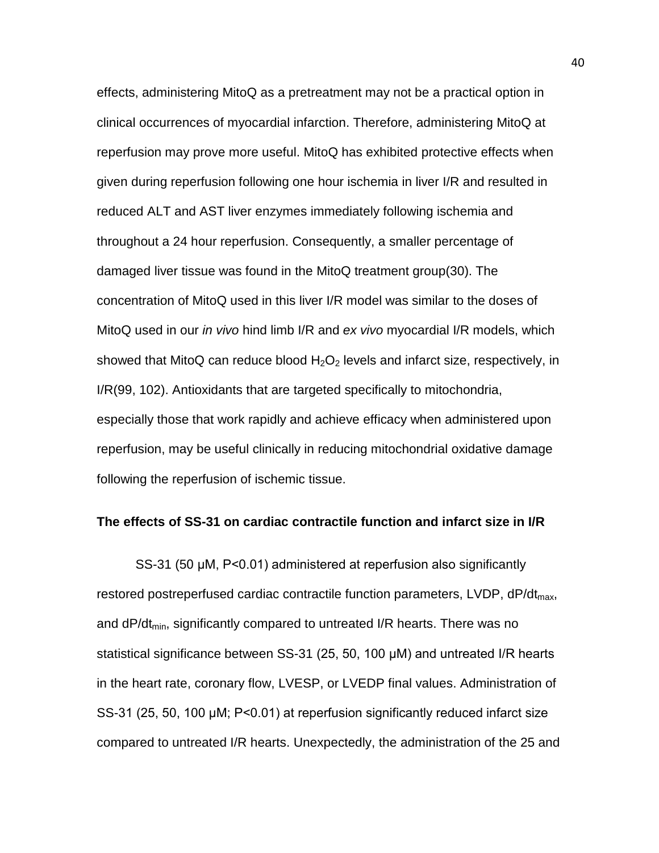effects, administering MitoQ as a pretreatment may not be a practical option in clinical occurrences of myocardial infarction. Therefore, administering MitoQ at reperfusion may prove more useful. MitoQ has exhibited protective effects when given during reperfusion following one hour ischemia in liver I/R and resulted in reduced ALT and AST liver enzymes immediately following ischemia and throughout a 24 hour reperfusion. Consequently, a smaller percentage of damaged liver tissue was found in the MitoQ treatment group(30). The concentration of MitoQ used in this liver I/R model was similar to the doses of MitoQ used in our *in vivo* hind limb I/R and *ex vivo* myocardial I/R models, which showed that MitoQ can reduce blood  $H_2O_2$  levels and infarct size, respectively, in I/R(99, 102). Antioxidants that are targeted specifically to mitochondria, especially those that work rapidly and achieve efficacy when administered upon reperfusion, may be useful clinically in reducing mitochondrial oxidative damage following the reperfusion of ischemic tissue.

#### **The effects of SS-31 on cardiac contractile function and infarct size in I/R**

SS-31 (50 μM, P<0.01) administered at reperfusion also significantly restored postreperfused cardiac contractile function parameters,  $LVDP$ ,  $dP/dt_{max}$ , and dP/dt<sub>min</sub>, significantly compared to untreated I/R hearts. There was no statistical significance between SS-31 (25, 50, 100 μM) and untreated I/R hearts in the heart rate, coronary flow, LVESP, or LVEDP final values. Administration of SS-31 (25, 50, 100 μM; P<0.01) at reperfusion significantly reduced infarct size compared to untreated I/R hearts. Unexpectedly, the administration of the 25 and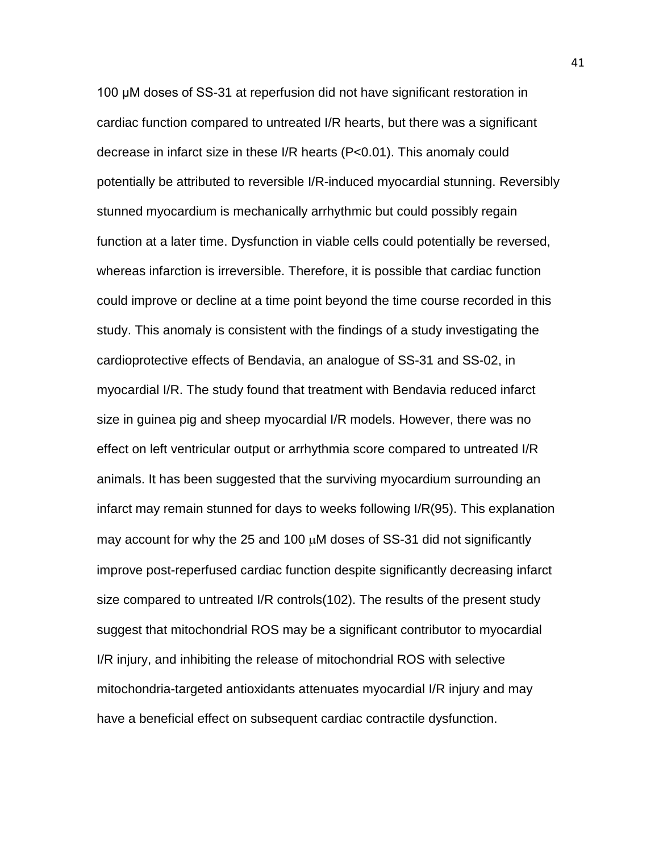100 μM doses of SS-31 at reperfusion did not have significant restoration in cardiac function compared to untreated I/R hearts, but there was a significant decrease in infarct size in these I/R hearts (P<0.01). This anomaly could potentially be attributed to reversible I/R-induced myocardial stunning. Reversibly stunned myocardium is mechanically arrhythmic but could possibly regain function at a later time. Dysfunction in viable cells could potentially be reversed, whereas infarction is irreversible. Therefore, it is possible that cardiac function could improve or decline at a time point beyond the time course recorded in this study. This anomaly is consistent with the findings of a study investigating the cardioprotective effects of Bendavia, an analogue of SS-31 and SS-02, in myocardial I/R. The study found that treatment with Bendavia reduced infarct size in guinea pig and sheep myocardial I/R models. However, there was no effect on left ventricular output or arrhythmia score compared to untreated I/R animals. It has been suggested that the surviving myocardium surrounding an infarct may remain stunned for days to weeks following I/R(95). This explanation may account for why the 25 and 100  $\mu$ M doses of SS-31 did not significantly improve post-reperfused cardiac function despite significantly decreasing infarct size compared to untreated I/R controls(102). The results of the present study suggest that mitochondrial ROS may be a significant contributor to myocardial I/R injury, and inhibiting the release of mitochondrial ROS with selective mitochondria-targeted antioxidants attenuates myocardial I/R injury and may have a beneficial effect on subsequent cardiac contractile dysfunction.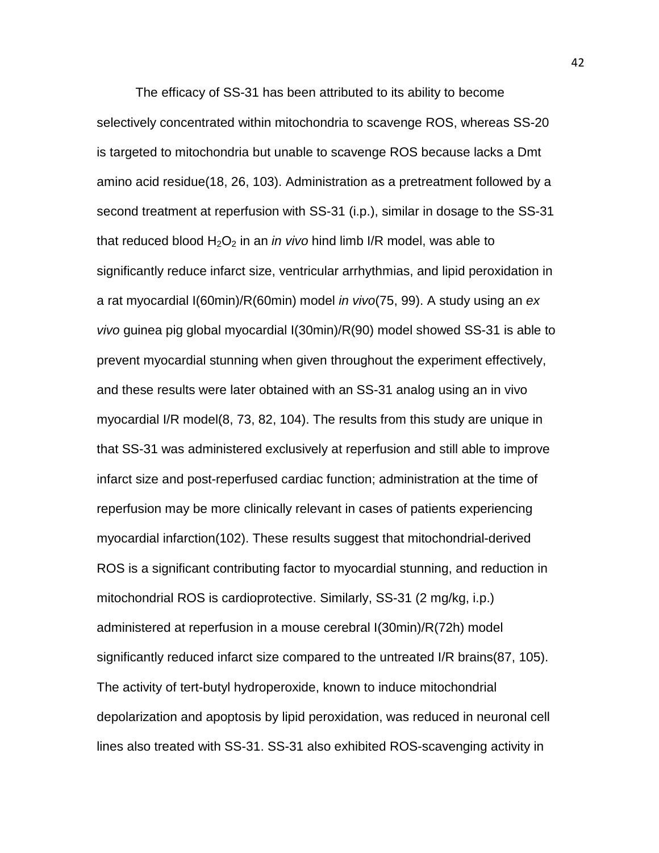The efficacy of SS-31 has been attributed to its ability to become selectively concentrated within mitochondria to scavenge ROS, whereas SS-20 is targeted to mitochondria but unable to scavenge ROS because lacks a Dmt amino acid residue(18, 26, 103). Administration as a pretreatment followed by a second treatment at reperfusion with SS-31 (i.p.), similar in dosage to the SS-31 that reduced blood  $H_2O_2$  in an *in vivo* hind limb I/R model, was able to significantly reduce infarct size, ventricular arrhythmias, and lipid peroxidation in a rat myocardial I(60min)/R(60min) model *in vivo*(75, 99). A study using an *ex vivo* guinea pig global myocardial I(30min)/R(90) model showed SS-31 is able to prevent myocardial stunning when given throughout the experiment effectively, and these results were later obtained with an SS-31 analog using an in vivo myocardial I/R model(8, 73, 82, 104). The results from this study are unique in that SS-31 was administered exclusively at reperfusion and still able to improve infarct size and post-reperfused cardiac function; administration at the time of reperfusion may be more clinically relevant in cases of patients experiencing myocardial infarction(102). These results suggest that mitochondrial-derived ROS is a significant contributing factor to myocardial stunning, and reduction in mitochondrial ROS is cardioprotective. Similarly, SS-31 (2 mg/kg, i.p.) administered at reperfusion in a mouse cerebral I(30min)/R(72h) model significantly reduced infarct size compared to the untreated I/R brains(87, 105). The activity of tert-butyl hydroperoxide, known to induce mitochondrial depolarization and apoptosis by lipid peroxidation, was reduced in neuronal cell lines also treated with SS-31. SS-31 also exhibited ROS-scavenging activity in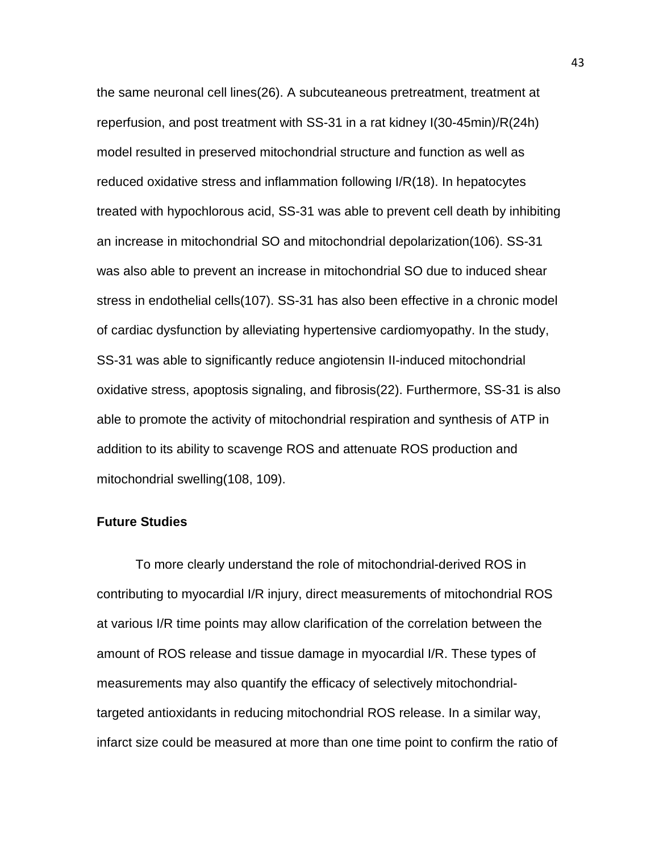the same neuronal cell lines(26). A subcuteaneous pretreatment, treatment at reperfusion, and post treatment with SS-31 in a rat kidney I(30-45min)/R(24h) model resulted in preserved mitochondrial structure and function as well as reduced oxidative stress and inflammation following I/R(18). In hepatocytes treated with hypochlorous acid, SS-31 was able to prevent cell death by inhibiting an increase in mitochondrial SO and mitochondrial depolarization(106). SS-31 was also able to prevent an increase in mitochondrial SO due to induced shear stress in endothelial cells(107). SS-31 has also been effective in a chronic model of cardiac dysfunction by alleviating hypertensive cardiomyopathy. In the study, SS-31 was able to significantly reduce angiotensin II-induced mitochondrial oxidative stress, apoptosis signaling, and fibrosis(22). Furthermore, SS-31 is also able to promote the activity of mitochondrial respiration and synthesis of ATP in addition to its ability to scavenge ROS and attenuate ROS production and mitochondrial swelling(108, 109).

# **Future Studies**

To more clearly understand the role of mitochondrial-derived ROS in contributing to myocardial I/R injury, direct measurements of mitochondrial ROS at various I/R time points may allow clarification of the correlation between the amount of ROS release and tissue damage in myocardial I/R. These types of measurements may also quantify the efficacy of selectively mitochondrialtargeted antioxidants in reducing mitochondrial ROS release. In a similar way, infarct size could be measured at more than one time point to confirm the ratio of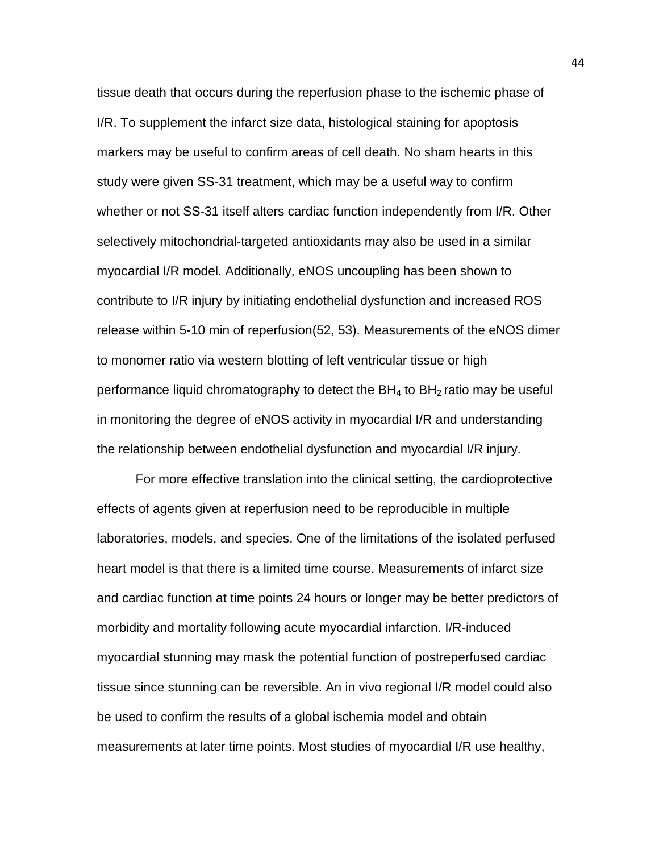tissue death that occurs during the reperfusion phase to the ischemic phase of I/R. To supplement the infarct size data, histological staining for apoptosis markers may be useful to confirm areas of cell death. No sham hearts in this study were given SS-31 treatment, which may be a useful way to confirm whether or not SS-31 itself alters cardiac function independently from I/R. Other selectively mitochondrial-targeted antioxidants may also be used in a similar myocardial I/R model. Additionally, eNOS uncoupling has been shown to contribute to I/R injury by initiating endothelial dysfunction and increased ROS release within 5-10 min of reperfusion(52, 53). Measurements of the eNOS dimer to monomer ratio via western blotting of left ventricular tissue or high performance liquid chromatography to detect the  $BH<sub>4</sub>$  to  $BH<sub>2</sub>$  ratio may be useful in monitoring the degree of eNOS activity in myocardial I/R and understanding the relationship between endothelial dysfunction and myocardial I/R injury.

For more effective translation into the clinical setting, the cardioprotective effects of agents given at reperfusion need to be reproducible in multiple laboratories, models, and species. One of the limitations of the isolated perfused heart model is that there is a limited time course. Measurements of infarct size and cardiac function at time points 24 hours or longer may be better predictors of morbidity and mortality following acute myocardial infarction. I/R-induced myocardial stunning may mask the potential function of postreperfused cardiac tissue since stunning can be reversible. An in vivo regional I/R model could also be used to confirm the results of a global ischemia model and obtain measurements at later time points. Most studies of myocardial I/R use healthy,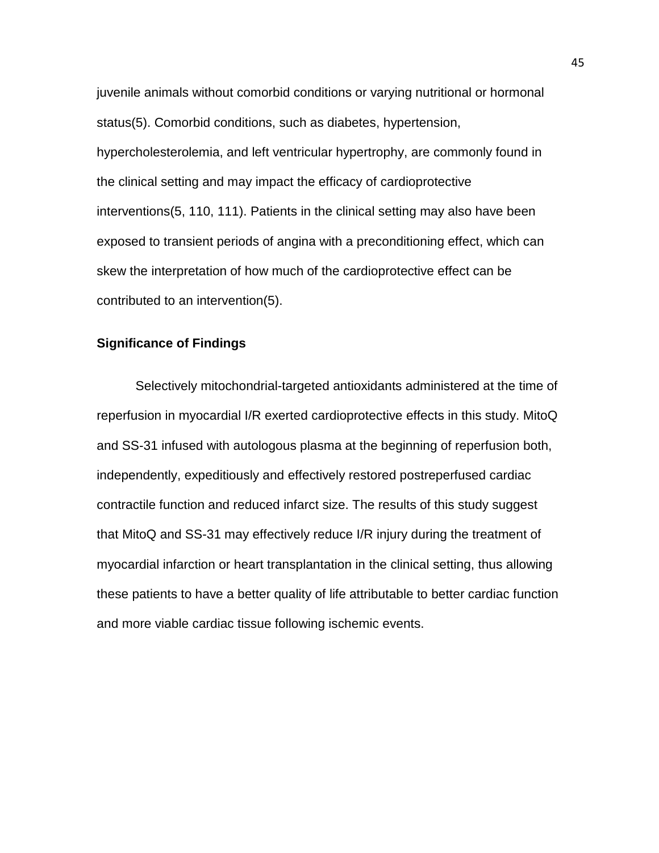juvenile animals without comorbid conditions or varying nutritional or hormonal status(5). Comorbid conditions, such as diabetes, hypertension, hypercholesterolemia, and left ventricular hypertrophy, are commonly found in the clinical setting and may impact the efficacy of cardioprotective interventions(5, 110, 111). Patients in the clinical setting may also have been exposed to transient periods of angina with a preconditioning effect, which can skew the interpretation of how much of the cardioprotective effect can be contributed to an intervention(5).

# **Significance of Findings**

Selectively mitochondrial-targeted antioxidants administered at the time of reperfusion in myocardial I/R exerted cardioprotective effects in this study. MitoQ and SS-31 infused with autologous plasma at the beginning of reperfusion both, independently, expeditiously and effectively restored postreperfused cardiac contractile function and reduced infarct size. The results of this study suggest that MitoQ and SS-31 may effectively reduce I/R injury during the treatment of myocardial infarction or heart transplantation in the clinical setting, thus allowing these patients to have a better quality of life attributable to better cardiac function and more viable cardiac tissue following ischemic events.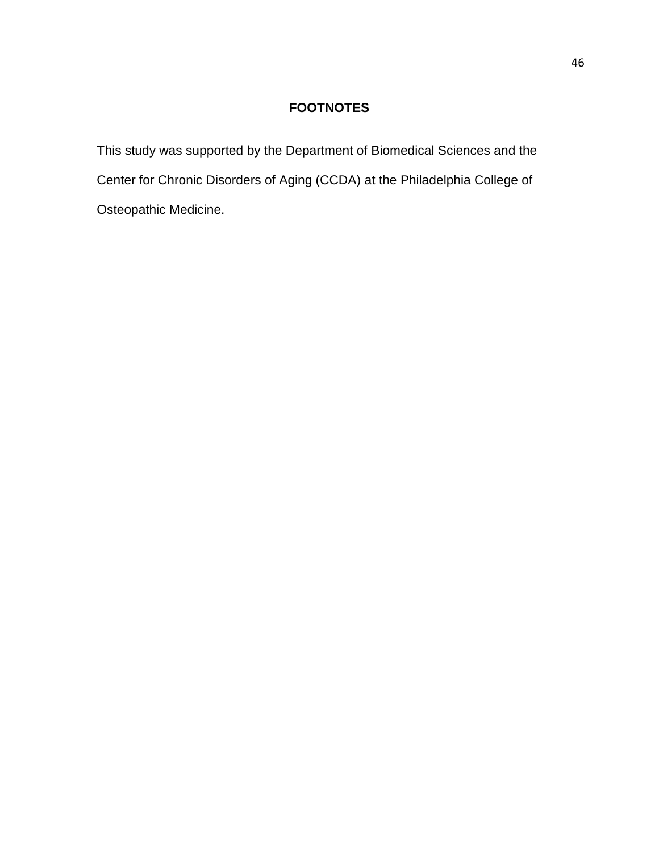# **FOOTNOTES**

This study was supported by the Department of Biomedical Sciences and the Center for Chronic Disorders of Aging (CCDA) at the Philadelphia College of Osteopathic Medicine.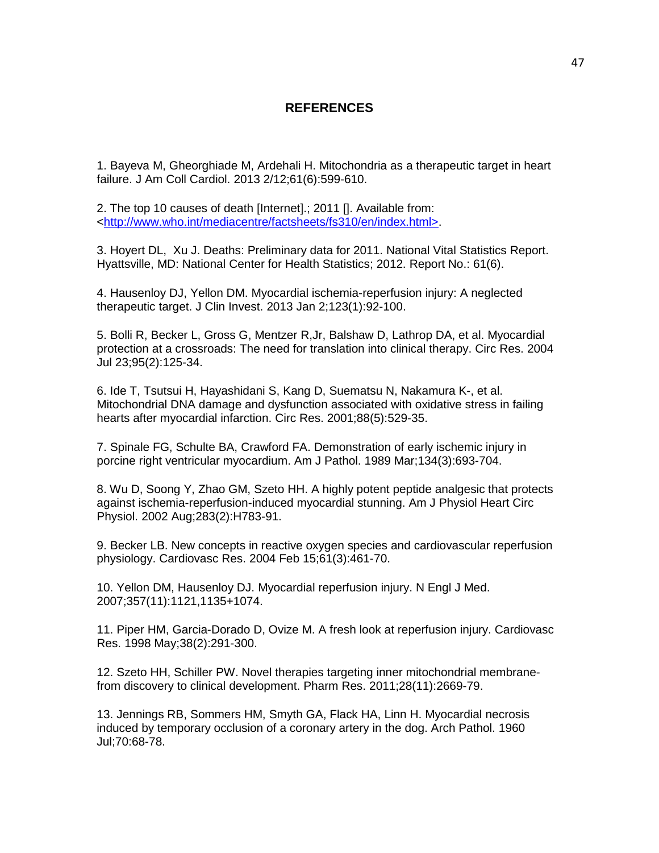### **REFERENCES**

1. Bayeva M, Gheorghiade M, Ardehali H. Mitochondria as a therapeutic target in heart failure. J Am Coll Cardiol. 2013 2/12;61(6):599-610.

2. The top 10 causes of death [Internet].; 2011 []. Available from: [<http://www.who.int/mediacentre/factsheets/fs310/en/index.html>.](http://www.who.int/mediacentre/factsheets/fs310/en/index.html%3E)

3. Hoyert DL, Xu J. Deaths: Preliminary data for 2011. National Vital Statistics Report. Hyattsville, MD: National Center for Health Statistics; 2012. Report No.: 61(6).

4. Hausenloy DJ, Yellon DM. Myocardial ischemia-reperfusion injury: A neglected therapeutic target. J Clin Invest. 2013 Jan 2;123(1):92-100.

5. Bolli R, Becker L, Gross G, Mentzer R,Jr, Balshaw D, Lathrop DA, et al. Myocardial protection at a crossroads: The need for translation into clinical therapy. Circ Res. 2004 Jul 23;95(2):125-34.

6. Ide T, Tsutsui H, Hayashidani S, Kang D, Suematsu N, Nakamura K-, et al. Mitochondrial DNA damage and dysfunction associated with oxidative stress in failing hearts after myocardial infarction. Circ Res. 2001;88(5):529-35.

7. Spinale FG, Schulte BA, Crawford FA. Demonstration of early ischemic injury in porcine right ventricular myocardium. Am J Pathol. 1989 Mar;134(3):693-704.

8. Wu D, Soong Y, Zhao GM, Szeto HH. A highly potent peptide analgesic that protects against ischemia-reperfusion-induced myocardial stunning. Am J Physiol Heart Circ Physiol. 2002 Aug;283(2):H783-91.

9. Becker LB. New concepts in reactive oxygen species and cardiovascular reperfusion physiology. Cardiovasc Res. 2004 Feb 15;61(3):461-70.

10. Yellon DM, Hausenloy DJ. Myocardial reperfusion injury. N Engl J Med. 2007;357(11):1121,1135+1074.

11. Piper HM, Garcia-Dorado D, Ovize M. A fresh look at reperfusion injury. Cardiovasc Res. 1998 May;38(2):291-300.

12. Szeto HH, Schiller PW. Novel therapies targeting inner mitochondrial membranefrom discovery to clinical development. Pharm Res. 2011;28(11):2669-79.

13. Jennings RB, Sommers HM, Smyth GA, Flack HA, Linn H. Myocardial necrosis induced by temporary occlusion of a coronary artery in the dog. Arch Pathol. 1960 Jul;70:68-78.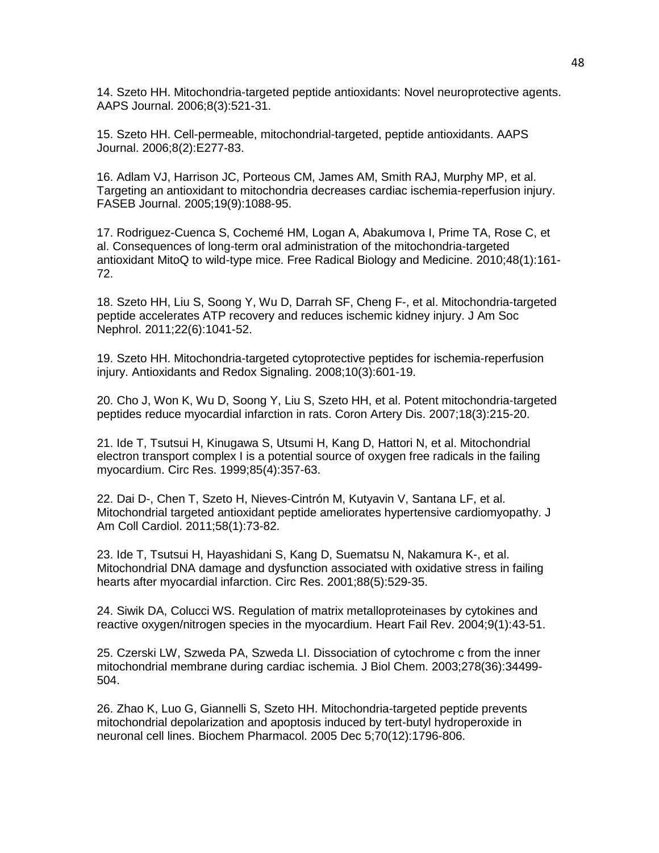14. Szeto HH. Mitochondria-targeted peptide antioxidants: Novel neuroprotective agents. AAPS Journal. 2006;8(3):521-31.

15. Szeto HH. Cell-permeable, mitochondrial-targeted, peptide antioxidants. AAPS Journal. 2006;8(2):E277-83.

16. Adlam VJ, Harrison JC, Porteous CM, James AM, Smith RAJ, Murphy MP, et al. Targeting an antioxidant to mitochondria decreases cardiac ischemia-reperfusion injury. FASEB Journal. 2005;19(9):1088-95.

17. Rodriguez-Cuenca S, Cochemé HM, Logan A, Abakumova I, Prime TA, Rose C, et al. Consequences of long-term oral administration of the mitochondria-targeted antioxidant MitoQ to wild-type mice. Free Radical Biology and Medicine. 2010;48(1):161- 72.

18. Szeto HH, Liu S, Soong Y, Wu D, Darrah SF, Cheng F-, et al. Mitochondria-targeted peptide accelerates ATP recovery and reduces ischemic kidney injury. J Am Soc Nephrol. 2011;22(6):1041-52.

19. Szeto HH. Mitochondria-targeted cytoprotective peptides for ischemia-reperfusion injury. Antioxidants and Redox Signaling. 2008;10(3):601-19.

20. Cho J, Won K, Wu D, Soong Y, Liu S, Szeto HH, et al. Potent mitochondria-targeted peptides reduce myocardial infarction in rats. Coron Artery Dis. 2007;18(3):215-20.

21. Ide T, Tsutsui H, Kinugawa S, Utsumi H, Kang D, Hattori N, et al. Mitochondrial electron transport complex I is a potential source of oxygen free radicals in the failing myocardium. Circ Res. 1999;85(4):357-63.

22. Dai D-, Chen T, Szeto H, Nieves-Cintrón M, Kutyavin V, Santana LF, et al. Mitochondrial targeted antioxidant peptide ameliorates hypertensive cardiomyopathy. J Am Coll Cardiol. 2011;58(1):73-82.

23. Ide T, Tsutsui H, Hayashidani S, Kang D, Suematsu N, Nakamura K-, et al. Mitochondrial DNA damage and dysfunction associated with oxidative stress in failing hearts after myocardial infarction. Circ Res. 2001;88(5):529-35.

24. Siwik DA, Colucci WS. Regulation of matrix metalloproteinases by cytokines and reactive oxygen/nitrogen species in the myocardium. Heart Fail Rev. 2004;9(1):43-51.

25. Czerski LW, Szweda PA, Szweda LI. Dissociation of cytochrome c from the inner mitochondrial membrane during cardiac ischemia. J Biol Chem. 2003;278(36):34499- 504.

26. Zhao K, Luo G, Giannelli S, Szeto HH. Mitochondria-targeted peptide prevents mitochondrial depolarization and apoptosis induced by tert-butyl hydroperoxide in neuronal cell lines. Biochem Pharmacol. 2005 Dec 5;70(12):1796-806.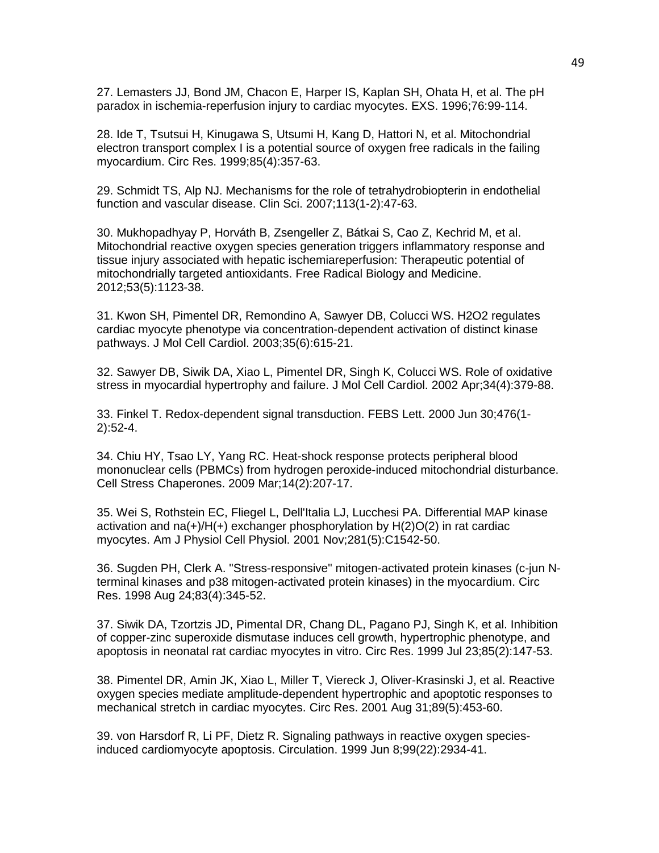27. Lemasters JJ, Bond JM, Chacon E, Harper IS, Kaplan SH, Ohata H, et al. The pH paradox in ischemia-reperfusion injury to cardiac myocytes. EXS. 1996;76:99-114.

28. Ide T, Tsutsui H, Kinugawa S, Utsumi H, Kang D, Hattori N, et al. Mitochondrial electron transport complex I is a potential source of oxygen free radicals in the failing myocardium. Circ Res. 1999;85(4):357-63.

29. Schmidt TS, Alp NJ. Mechanisms for the role of tetrahydrobiopterin in endothelial function and vascular disease. Clin Sci. 2007;113(1-2):47-63.

30. Mukhopadhyay P, Horváth B, Zsengeller Z, Bátkai S, Cao Z, Kechrid M, et al. Mitochondrial reactive oxygen species generation triggers inflammatory response and tissue injury associated with hepatic ischemiareperfusion: Therapeutic potential of mitochondrially targeted antioxidants. Free Radical Biology and Medicine. 2012;53(5):1123-38.

31. Kwon SH, Pimentel DR, Remondino A, Sawyer DB, Colucci WS. H2O2 regulates cardiac myocyte phenotype via concentration-dependent activation of distinct kinase pathways. J Mol Cell Cardiol. 2003;35(6):615-21.

32. Sawyer DB, Siwik DA, Xiao L, Pimentel DR, Singh K, Colucci WS. Role of oxidative stress in myocardial hypertrophy and failure. J Mol Cell Cardiol. 2002 Apr;34(4):379-88.

33. Finkel T. Redox-dependent signal transduction. FEBS Lett. 2000 Jun 30;476(1- 2):52-4.

34. Chiu HY, Tsao LY, Yang RC. Heat-shock response protects peripheral blood mononuclear cells (PBMCs) from hydrogen peroxide-induced mitochondrial disturbance. Cell Stress Chaperones. 2009 Mar;14(2):207-17.

35. Wei S, Rothstein EC, Fliegel L, Dell'Italia LJ, Lucchesi PA. Differential MAP kinase activation and na(+)/H(+) exchanger phosphorylation by  $H(2)O(2)$  in rat cardiac myocytes. Am J Physiol Cell Physiol. 2001 Nov;281(5):C1542-50.

36. Sugden PH, Clerk A. "Stress-responsive" mitogen-activated protein kinases (c-jun Nterminal kinases and p38 mitogen-activated protein kinases) in the myocardium. Circ Res. 1998 Aug 24;83(4):345-52.

37. Siwik DA, Tzortzis JD, Pimental DR, Chang DL, Pagano PJ, Singh K, et al. Inhibition of copper-zinc superoxide dismutase induces cell growth, hypertrophic phenotype, and apoptosis in neonatal rat cardiac myocytes in vitro. Circ Res. 1999 Jul 23;85(2):147-53.

38. Pimentel DR, Amin JK, Xiao L, Miller T, Viereck J, Oliver-Krasinski J, et al. Reactive oxygen species mediate amplitude-dependent hypertrophic and apoptotic responses to mechanical stretch in cardiac myocytes. Circ Res. 2001 Aug 31;89(5):453-60.

39. von Harsdorf R, Li PF, Dietz R. Signaling pathways in reactive oxygen speciesinduced cardiomyocyte apoptosis. Circulation. 1999 Jun 8;99(22):2934-41.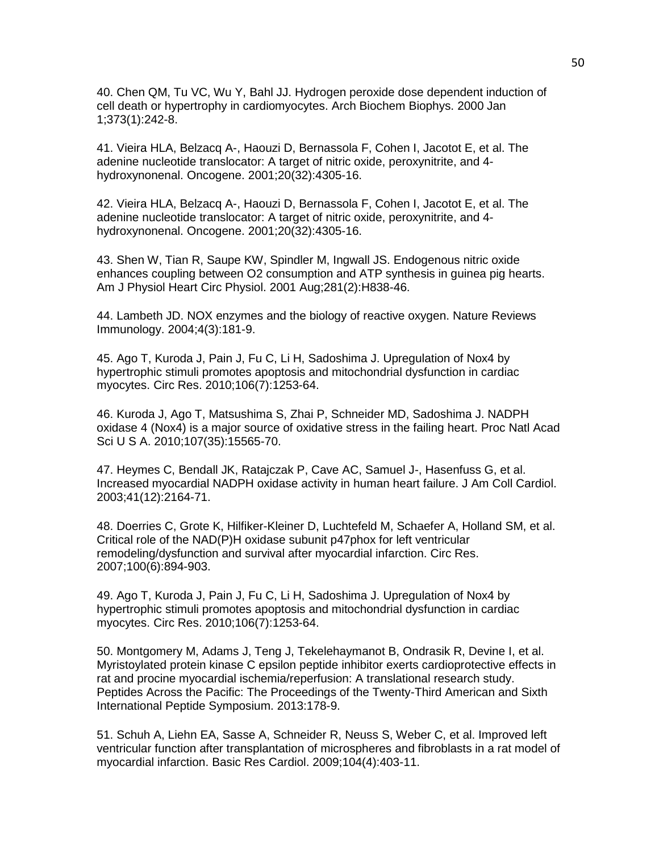40. Chen QM, Tu VC, Wu Y, Bahl JJ. Hydrogen peroxide dose dependent induction of cell death or hypertrophy in cardiomyocytes. Arch Biochem Biophys. 2000 Jan 1;373(1):242-8.

41. Vieira HLA, Belzacq A-, Haouzi D, Bernassola F, Cohen I, Jacotot E, et al. The adenine nucleotide translocator: A target of nitric oxide, peroxynitrite, and 4 hydroxynonenal. Oncogene. 2001;20(32):4305-16.

42. Vieira HLA, Belzacq A-, Haouzi D, Bernassola F, Cohen I, Jacotot E, et al. The adenine nucleotide translocator: A target of nitric oxide, peroxynitrite, and 4 hydroxynonenal. Oncogene. 2001;20(32):4305-16.

43. Shen W, Tian R, Saupe KW, Spindler M, Ingwall JS. Endogenous nitric oxide enhances coupling between O2 consumption and ATP synthesis in guinea pig hearts. Am J Physiol Heart Circ Physiol. 2001 Aug;281(2):H838-46.

44. Lambeth JD. NOX enzymes and the biology of reactive oxygen. Nature Reviews Immunology. 2004;4(3):181-9.

45. Ago T, Kuroda J, Pain J, Fu C, Li H, Sadoshima J. Upregulation of Nox4 by hypertrophic stimuli promotes apoptosis and mitochondrial dysfunction in cardiac myocytes. Circ Res. 2010;106(7):1253-64.

46. Kuroda J, Ago T, Matsushima S, Zhai P, Schneider MD, Sadoshima J. NADPH oxidase 4 (Nox4) is a major source of oxidative stress in the failing heart. Proc Natl Acad Sci U S A. 2010;107(35):15565-70.

47. Heymes C, Bendall JK, Ratajczak P, Cave AC, Samuel J-, Hasenfuss G, et al. Increased myocardial NADPH oxidase activity in human heart failure. J Am Coll Cardiol. 2003;41(12):2164-71.

48. Doerries C, Grote K, Hilfiker-Kleiner D, Luchtefeld M, Schaefer A, Holland SM, et al. Critical role of the NAD(P)H oxidase subunit p47phox for left ventricular remodeling/dysfunction and survival after myocardial infarction. Circ Res. 2007;100(6):894-903.

49. Ago T, Kuroda J, Pain J, Fu C, Li H, Sadoshima J. Upregulation of Nox4 by hypertrophic stimuli promotes apoptosis and mitochondrial dysfunction in cardiac myocytes. Circ Res. 2010;106(7):1253-64.

50. Montgomery M, Adams J, Teng J, Tekelehaymanot B, Ondrasik R, Devine I, et al. Myristoylated protein kinase C epsilon peptide inhibitor exerts cardioprotective effects in rat and procine myocardial ischemia/reperfusion: A translational research study. Peptides Across the Pacific: The Proceedings of the Twenty-Third American and Sixth International Peptide Symposium. 2013:178-9.

51. Schuh A, Liehn EA, Sasse A, Schneider R, Neuss S, Weber C, et al. Improved left ventricular function after transplantation of microspheres and fibroblasts in a rat model of myocardial infarction. Basic Res Cardiol. 2009;104(4):403-11.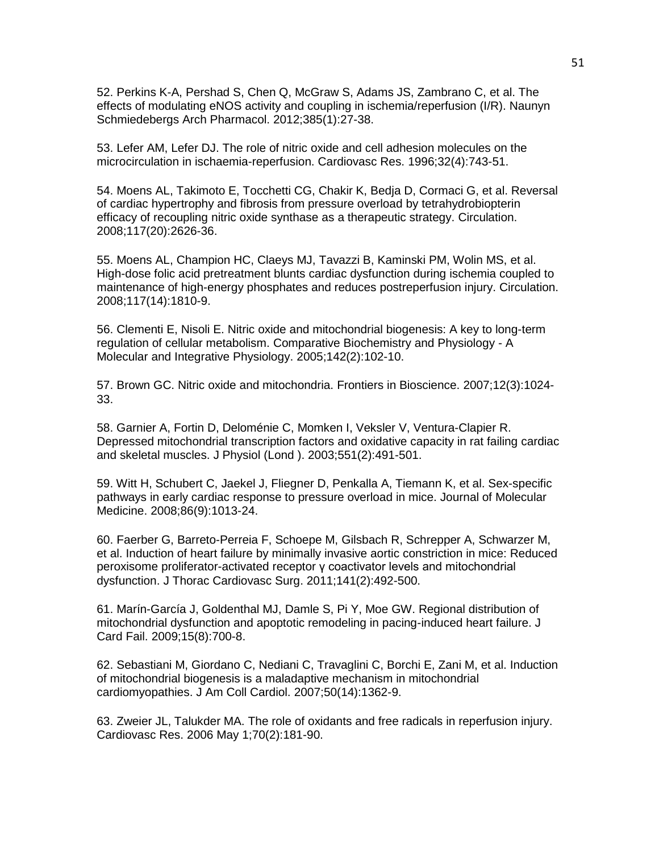52. Perkins K-A, Pershad S, Chen Q, McGraw S, Adams JS, Zambrano C, et al. The effects of modulating eNOS activity and coupling in ischemia/reperfusion (I/R). Naunyn Schmiedebergs Arch Pharmacol. 2012;385(1):27-38.

53. Lefer AM, Lefer DJ. The role of nitric oxide and cell adhesion molecules on the microcirculation in ischaemia-reperfusion. Cardiovasc Res. 1996;32(4):743-51.

54. Moens AL, Takimoto E, Tocchetti CG, Chakir K, Bedja D, Cormaci G, et al. Reversal of cardiac hypertrophy and fibrosis from pressure overload by tetrahydrobiopterin efficacy of recoupling nitric oxide synthase as a therapeutic strategy. Circulation. 2008;117(20):2626-36.

55. Moens AL, Champion HC, Claeys MJ, Tavazzi B, Kaminski PM, Wolin MS, et al. High-dose folic acid pretreatment blunts cardiac dysfunction during ischemia coupled to maintenance of high-energy phosphates and reduces postreperfusion injury. Circulation. 2008;117(14):1810-9.

56. Clementi E, Nisoli E. Nitric oxide and mitochondrial biogenesis: A key to long-term regulation of cellular metabolism. Comparative Biochemistry and Physiology - A Molecular and Integrative Physiology. 2005;142(2):102-10.

57. Brown GC. Nitric oxide and mitochondria. Frontiers in Bioscience. 2007;12(3):1024- 33.

58. Garnier A, Fortin D, Deloménie C, Momken I, Veksler V, Ventura-Clapier R. Depressed mitochondrial transcription factors and oxidative capacity in rat failing cardiac and skeletal muscles. J Physiol (Lond ). 2003;551(2):491-501.

59. Witt H, Schubert C, Jaekel J, Fliegner D, Penkalla A, Tiemann K, et al. Sex-specific pathways in early cardiac response to pressure overload in mice. Journal of Molecular Medicine. 2008;86(9):1013-24.

60. Faerber G, Barreto-Perreia F, Schoepe M, Gilsbach R, Schrepper A, Schwarzer M, et al. Induction of heart failure by minimally invasive aortic constriction in mice: Reduced peroxisome proliferator-activated receptor γ coactivator levels and mitochondrial dysfunction. J Thorac Cardiovasc Surg. 2011;141(2):492-500.

61. Marín-García J, Goldenthal MJ, Damle S, Pi Y, Moe GW. Regional distribution of mitochondrial dysfunction and apoptotic remodeling in pacing-induced heart failure. J Card Fail. 2009;15(8):700-8.

62. Sebastiani M, Giordano C, Nediani C, Travaglini C, Borchi E, Zani M, et al. Induction of mitochondrial biogenesis is a maladaptive mechanism in mitochondrial cardiomyopathies. J Am Coll Cardiol. 2007;50(14):1362-9.

63. Zweier JL, Talukder MA. The role of oxidants and free radicals in reperfusion injury. Cardiovasc Res. 2006 May 1;70(2):181-90.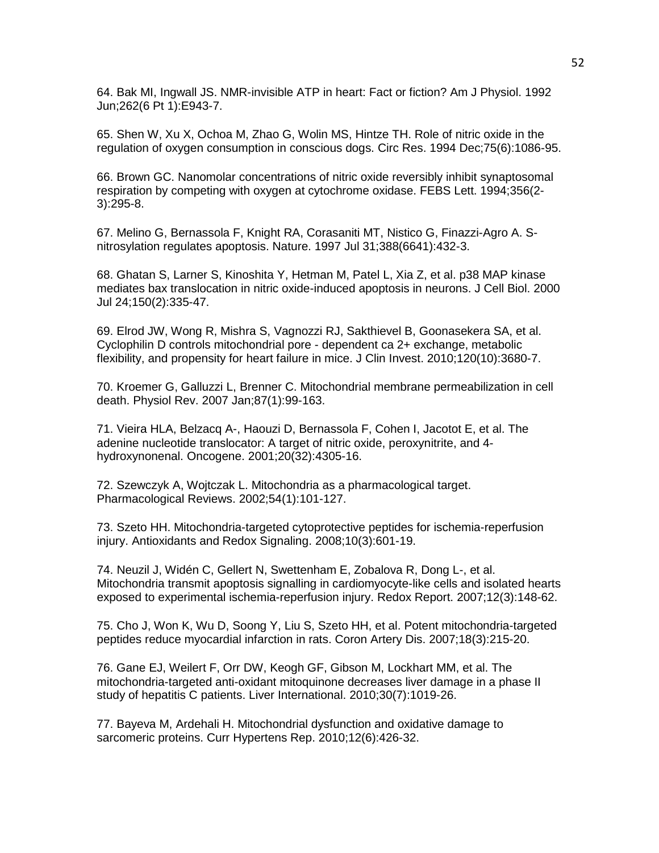64. Bak MI, Ingwall JS. NMR-invisible ATP in heart: Fact or fiction? Am J Physiol. 1992 Jun;262(6 Pt 1):E943-7.

65. Shen W, Xu X, Ochoa M, Zhao G, Wolin MS, Hintze TH. Role of nitric oxide in the regulation of oxygen consumption in conscious dogs. Circ Res. 1994 Dec;75(6):1086-95.

66. Brown GC. Nanomolar concentrations of nitric oxide reversibly inhibit synaptosomal respiration by competing with oxygen at cytochrome oxidase. FEBS Lett. 1994;356(2- 3):295-8.

67. Melino G, Bernassola F, Knight RA, Corasaniti MT, Nistico G, Finazzi-Agro A. Snitrosylation regulates apoptosis. Nature. 1997 Jul 31;388(6641):432-3.

68. Ghatan S, Larner S, Kinoshita Y, Hetman M, Patel L, Xia Z, et al. p38 MAP kinase mediates bax translocation in nitric oxide-induced apoptosis in neurons. J Cell Biol. 2000 Jul 24;150(2):335-47.

69. Elrod JW, Wong R, Mishra S, Vagnozzi RJ, Sakthievel B, Goonasekera SA, et al. Cyclophilin D controls mitochondrial pore - dependent ca 2+ exchange, metabolic flexibility, and propensity for heart failure in mice. J Clin Invest. 2010;120(10):3680-7.

70. Kroemer G, Galluzzi L, Brenner C. Mitochondrial membrane permeabilization in cell death. Physiol Rev. 2007 Jan;87(1):99-163.

71. Vieira HLA, Belzacq A-, Haouzi D, Bernassola F, Cohen I, Jacotot E, et al. The adenine nucleotide translocator: A target of nitric oxide, peroxynitrite, and 4 hydroxynonenal. Oncogene. 2001;20(32):4305-16.

72. Szewczyk A, Wojtczak L. Mitochondria as a pharmacological target. Pharmacological Reviews. 2002;54(1):101-127.

73. Szeto HH. Mitochondria-targeted cytoprotective peptides for ischemia-reperfusion injury. Antioxidants and Redox Signaling. 2008;10(3):601-19.

74. Neuzil J, Widén C, Gellert N, Swettenham E, Zobalova R, Dong L-, et al. Mitochondria transmit apoptosis signalling in cardiomyocyte-like cells and isolated hearts exposed to experimental ischemia-reperfusion injury. Redox Report. 2007;12(3):148-62.

75. Cho J, Won K, Wu D, Soong Y, Liu S, Szeto HH, et al. Potent mitochondria-targeted peptides reduce myocardial infarction in rats. Coron Artery Dis. 2007;18(3):215-20.

76. Gane EJ, Weilert F, Orr DW, Keogh GF, Gibson M, Lockhart MM, et al. The mitochondria-targeted anti-oxidant mitoquinone decreases liver damage in a phase II study of hepatitis C patients. Liver International. 2010;30(7):1019-26.

77. Bayeva M, Ardehali H. Mitochondrial dysfunction and oxidative damage to sarcomeric proteins. Curr Hypertens Rep. 2010;12(6):426-32.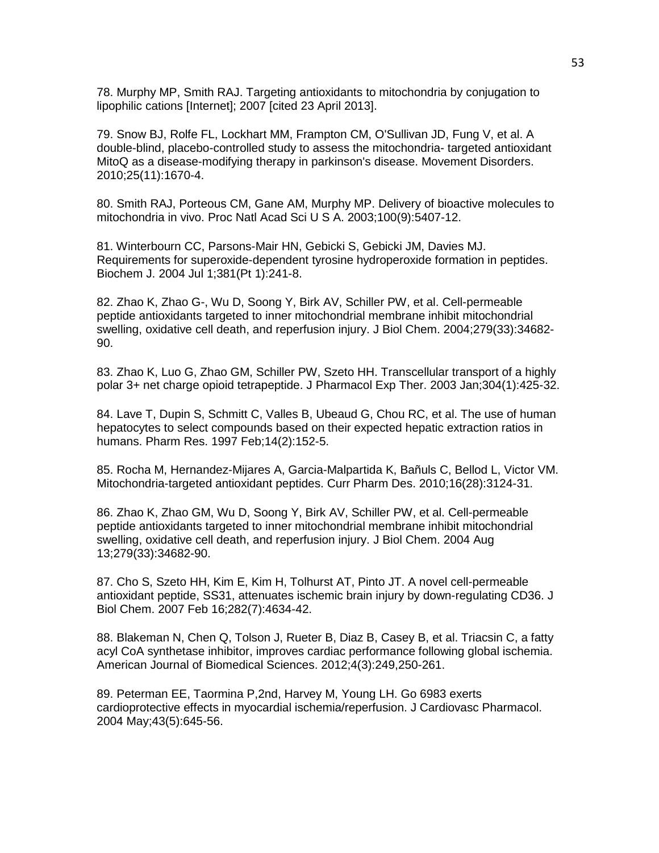78. Murphy MP, Smith RAJ. Targeting antioxidants to mitochondria by conjugation to lipophilic cations [Internet]; 2007 [cited 23 April 2013].

79. Snow BJ, Rolfe FL, Lockhart MM, Frampton CM, O'Sullivan JD, Fung V, et al. A double-blind, placebo-controlled study to assess the mitochondria- targeted antioxidant MitoQ as a disease-modifying therapy in parkinson's disease. Movement Disorders. 2010;25(11):1670-4.

80. Smith RAJ, Porteous CM, Gane AM, Murphy MP. Delivery of bioactive molecules to mitochondria in vivo. Proc Natl Acad Sci U S A. 2003;100(9):5407-12.

81. Winterbourn CC, Parsons-Mair HN, Gebicki S, Gebicki JM, Davies MJ. Requirements for superoxide-dependent tyrosine hydroperoxide formation in peptides. Biochem J. 2004 Jul 1;381(Pt 1):241-8.

82. Zhao K, Zhao G-, Wu D, Soong Y, Birk AV, Schiller PW, et al. Cell-permeable peptide antioxidants targeted to inner mitochondrial membrane inhibit mitochondrial swelling, oxidative cell death, and reperfusion injury. J Biol Chem. 2004;279(33):34682- 90.

83. Zhao K, Luo G, Zhao GM, Schiller PW, Szeto HH. Transcellular transport of a highly polar 3+ net charge opioid tetrapeptide. J Pharmacol Exp Ther. 2003 Jan;304(1):425-32.

84. Lave T, Dupin S, Schmitt C, Valles B, Ubeaud G, Chou RC, et al. The use of human hepatocytes to select compounds based on their expected hepatic extraction ratios in humans. Pharm Res. 1997 Feb;14(2):152-5.

85. Rocha M, Hernandez-Mijares A, Garcia-Malpartida K, Bañuls C, Bellod L, Victor VM. Mitochondria-targeted antioxidant peptides. Curr Pharm Des. 2010;16(28):3124-31.

86. Zhao K, Zhao GM, Wu D, Soong Y, Birk AV, Schiller PW, et al. Cell-permeable peptide antioxidants targeted to inner mitochondrial membrane inhibit mitochondrial swelling, oxidative cell death, and reperfusion injury. J Biol Chem. 2004 Aug 13;279(33):34682-90.

87. Cho S, Szeto HH, Kim E, Kim H, Tolhurst AT, Pinto JT. A novel cell-permeable antioxidant peptide, SS31, attenuates ischemic brain injury by down-regulating CD36. J Biol Chem. 2007 Feb 16;282(7):4634-42.

88. Blakeman N, Chen Q, Tolson J, Rueter B, Diaz B, Casey B, et al. Triacsin C, a fatty acyl CoA synthetase inhibitor, improves cardiac performance following global ischemia. American Journal of Biomedical Sciences. 2012;4(3):249,250-261.

89. Peterman EE, Taormina P,2nd, Harvey M, Young LH. Go 6983 exerts cardioprotective effects in myocardial ischemia/reperfusion. J Cardiovasc Pharmacol. 2004 May;43(5):645-56.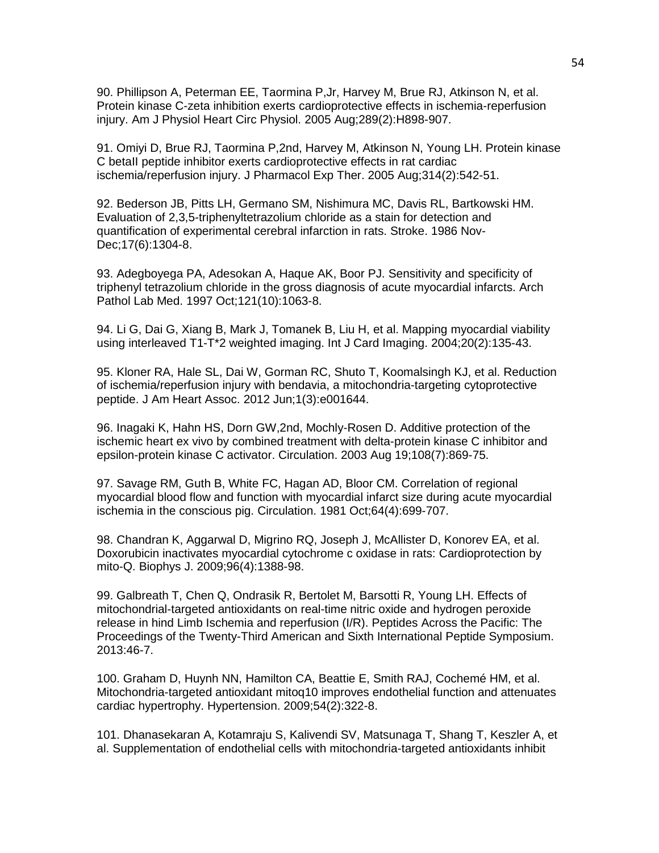90. Phillipson A, Peterman EE, Taormina P,Jr, Harvey M, Brue RJ, Atkinson N, et al. Protein kinase C-zeta inhibition exerts cardioprotective effects in ischemia-reperfusion injury. Am J Physiol Heart Circ Physiol. 2005 Aug;289(2):H898-907.

91. Omiyi D, Brue RJ, Taormina P,2nd, Harvey M, Atkinson N, Young LH. Protein kinase C betaII peptide inhibitor exerts cardioprotective effects in rat cardiac ischemia/reperfusion injury. J Pharmacol Exp Ther. 2005 Aug;314(2):542-51.

92. Bederson JB, Pitts LH, Germano SM, Nishimura MC, Davis RL, Bartkowski HM. Evaluation of 2,3,5-triphenyltetrazolium chloride as a stain for detection and quantification of experimental cerebral infarction in rats. Stroke. 1986 Nov-Dec;17(6):1304-8.

93. Adegboyega PA, Adesokan A, Haque AK, Boor PJ. Sensitivity and specificity of triphenyl tetrazolium chloride in the gross diagnosis of acute myocardial infarcts. Arch Pathol Lab Med. 1997 Oct;121(10):1063-8.

94. Li G, Dai G, Xiang B, Mark J, Tomanek B, Liu H, et al. Mapping myocardial viability using interleaved T1-T\*2 weighted imaging. Int J Card Imaging. 2004;20(2):135-43.

95. Kloner RA, Hale SL, Dai W, Gorman RC, Shuto T, Koomalsingh KJ, et al. Reduction of ischemia/reperfusion injury with bendavia, a mitochondria-targeting cytoprotective peptide. J Am Heart Assoc. 2012 Jun;1(3):e001644.

96. Inagaki K, Hahn HS, Dorn GW,2nd, Mochly-Rosen D. Additive protection of the ischemic heart ex vivo by combined treatment with delta-protein kinase C inhibitor and epsilon-protein kinase C activator. Circulation. 2003 Aug 19;108(7):869-75.

97. Savage RM, Guth B, White FC, Hagan AD, Bloor CM. Correlation of regional myocardial blood flow and function with myocardial infarct size during acute myocardial ischemia in the conscious pig. Circulation. 1981 Oct;64(4):699-707.

98. Chandran K, Aggarwal D, Migrino RQ, Joseph J, McAllister D, Konorev EA, et al. Doxorubicin inactivates myocardial cytochrome c oxidase in rats: Cardioprotection by mito-Q. Biophys J. 2009;96(4):1388-98.

99. Galbreath T, Chen Q, Ondrasik R, Bertolet M, Barsotti R, Young LH. Effects of mitochondrial-targeted antioxidants on real-time nitric oxide and hydrogen peroxide release in hind Limb Ischemia and reperfusion (I/R). Peptides Across the Pacific: The Proceedings of the Twenty-Third American and Sixth International Peptide Symposium. 2013:46-7.

100. Graham D, Huynh NN, Hamilton CA, Beattie E, Smith RAJ, Cochemé HM, et al. Mitochondria-targeted antioxidant mitoq10 improves endothelial function and attenuates cardiac hypertrophy. Hypertension. 2009;54(2):322-8.

101. Dhanasekaran A, Kotamraju S, Kalivendi SV, Matsunaga T, Shang T, Keszler A, et al. Supplementation of endothelial cells with mitochondria-targeted antioxidants inhibit